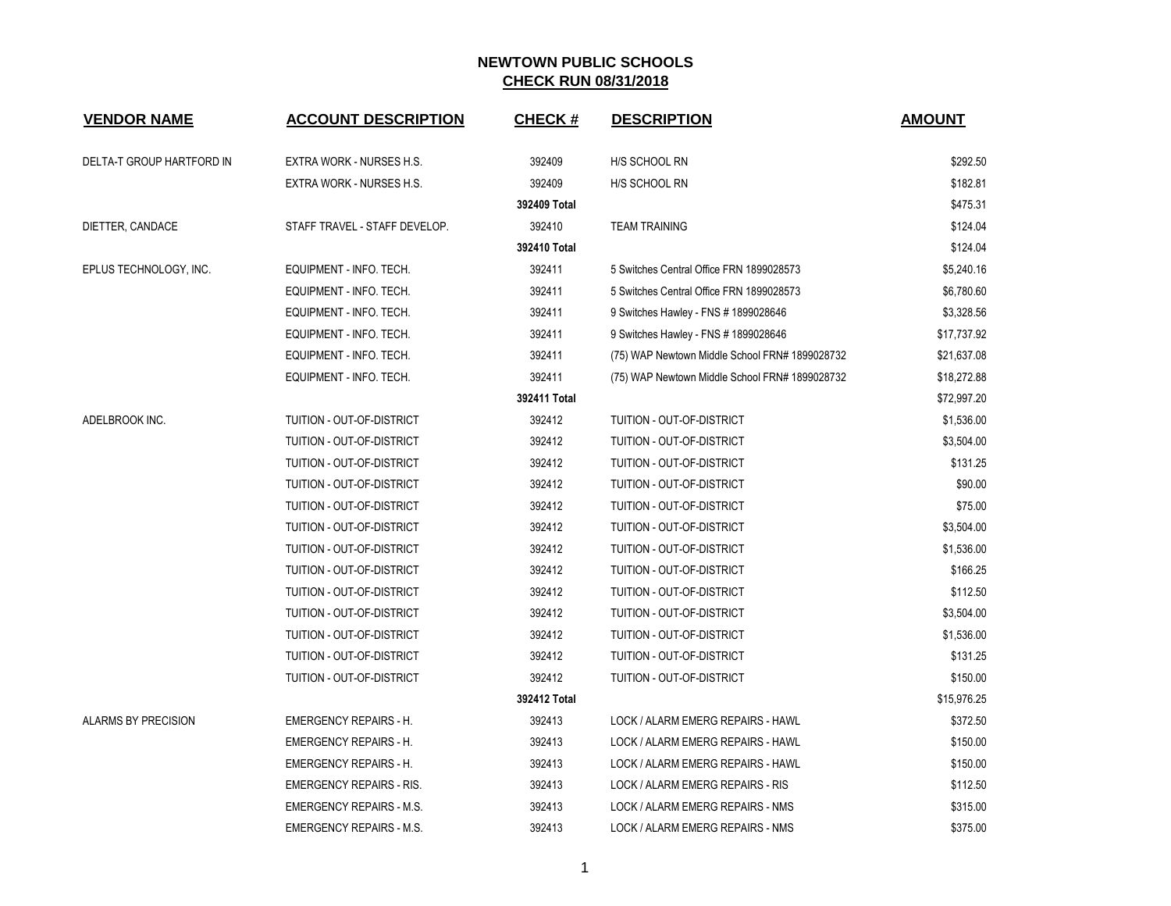| <b>VENDOR NAME</b>         | <b>ACCOUNT DESCRIPTION</b>       | <b>CHECK#</b> | <b>DESCRIPTION</b>                             | <b>AMOUNT</b> |
|----------------------------|----------------------------------|---------------|------------------------------------------------|---------------|
| DELTA-T GROUP HARTFORD IN  | EXTRA WORK - NURSES H.S.         | 392409        | H/S SCHOOL RN                                  | \$292.50      |
|                            | EXTRA WORK - NURSES H.S.         | 392409        | H/S SCHOOL RN                                  | \$182.81      |
|                            |                                  | 392409 Total  |                                                | \$475.31      |
| DIETTER, CANDACE           | STAFF TRAVEL - STAFF DEVELOP.    | 392410        | <b>TEAM TRAINING</b>                           | \$124.04      |
|                            |                                  | 392410 Total  |                                                | \$124.04      |
| EPLUS TECHNOLOGY, INC.     | EQUIPMENT - INFO. TECH.          | 392411        | 5 Switches Central Office FRN 1899028573       | \$5,240.16    |
|                            | EQUIPMENT - INFO. TECH.          | 392411        | 5 Switches Central Office FRN 1899028573       | \$6,780.60    |
|                            | EQUIPMENT - INFO. TECH.          | 392411        | 9 Switches Hawley - FNS # 1899028646           | \$3,328.56    |
|                            | EQUIPMENT - INFO. TECH.          | 392411        | 9 Switches Hawley - FNS # 1899028646           | \$17,737.92   |
|                            | EQUIPMENT - INFO. TECH.          | 392411        | (75) WAP Newtown Middle School FRN# 1899028732 | \$21,637.08   |
|                            | EQUIPMENT - INFO. TECH.          | 392411        | (75) WAP Newtown Middle School FRN# 1899028732 | \$18,272.88   |
|                            |                                  | 392411 Total  |                                                | \$72,997.20   |
| ADELBROOK INC.             | TUITION - OUT-OF-DISTRICT        | 392412        | TUITION - OUT-OF-DISTRICT                      | \$1,536.00    |
|                            | TUITION - OUT-OF-DISTRICT        | 392412        | TUITION - OUT-OF-DISTRICT                      | \$3,504.00    |
|                            | TUITION - OUT-OF-DISTRICT        | 392412        | TUITION - OUT-OF-DISTRICT                      | \$131.25      |
|                            | <b>TUITION - OUT-OF-DISTRICT</b> | 392412        | TUITION - OUT-OF-DISTRICT                      | \$90.00       |
|                            | TUITION - OUT-OF-DISTRICT        | 392412        | TUITION - OUT-OF-DISTRICT                      | \$75.00       |
|                            | TUITION - OUT-OF-DISTRICT        | 392412        | TUITION - OUT-OF-DISTRICT                      | \$3,504.00    |
|                            | TUITION - OUT-OF-DISTRICT        | 392412        | TUITION - OUT-OF-DISTRICT                      | \$1,536.00    |
|                            | TUITION - OUT-OF-DISTRICT        | 392412        | TUITION - OUT-OF-DISTRICT                      | \$166.25      |
|                            | TUITION - OUT-OF-DISTRICT        | 392412        | TUITION - OUT-OF-DISTRICT                      | \$112.50      |
|                            | TUITION - OUT-OF-DISTRICT        | 392412        | TUITION - OUT-OF-DISTRICT                      | \$3,504.00    |
|                            | TUITION - OUT-OF-DISTRICT        | 392412        | TUITION - OUT-OF-DISTRICT                      | \$1,536.00    |
|                            | TUITION - OUT-OF-DISTRICT        | 392412        | TUITION - OUT-OF-DISTRICT                      | \$131.25      |
|                            | TUITION - OUT-OF-DISTRICT        | 392412        | TUITION - OUT-OF-DISTRICT                      | \$150.00      |
|                            |                                  | 392412 Total  |                                                | \$15,976.25   |
| <b>ALARMS BY PRECISION</b> | <b>EMERGENCY REPAIRS - H.</b>    | 392413        | LOCK / ALARM EMERG REPAIRS - HAWL              | \$372.50      |
|                            | <b>EMERGENCY REPAIRS - H.</b>    | 392413        | LOCK / ALARM EMERG REPAIRS - HAWL              | \$150.00      |
|                            | <b>EMERGENCY REPAIRS - H.</b>    | 392413        | LOCK / ALARM EMERG REPAIRS - HAWL              | \$150.00      |
|                            | <b>EMERGENCY REPAIRS - RIS.</b>  | 392413        | LOCK / ALARM EMERG REPAIRS - RIS               | \$112.50      |
|                            | <b>EMERGENCY REPAIRS - M.S.</b>  | 392413        | LOCK / ALARM EMERG REPAIRS - NMS               | \$315.00      |
|                            | <b>EMERGENCY REPAIRS - M.S.</b>  | 392413        | LOCK / ALARM EMERG REPAIRS - NMS               | \$375.00      |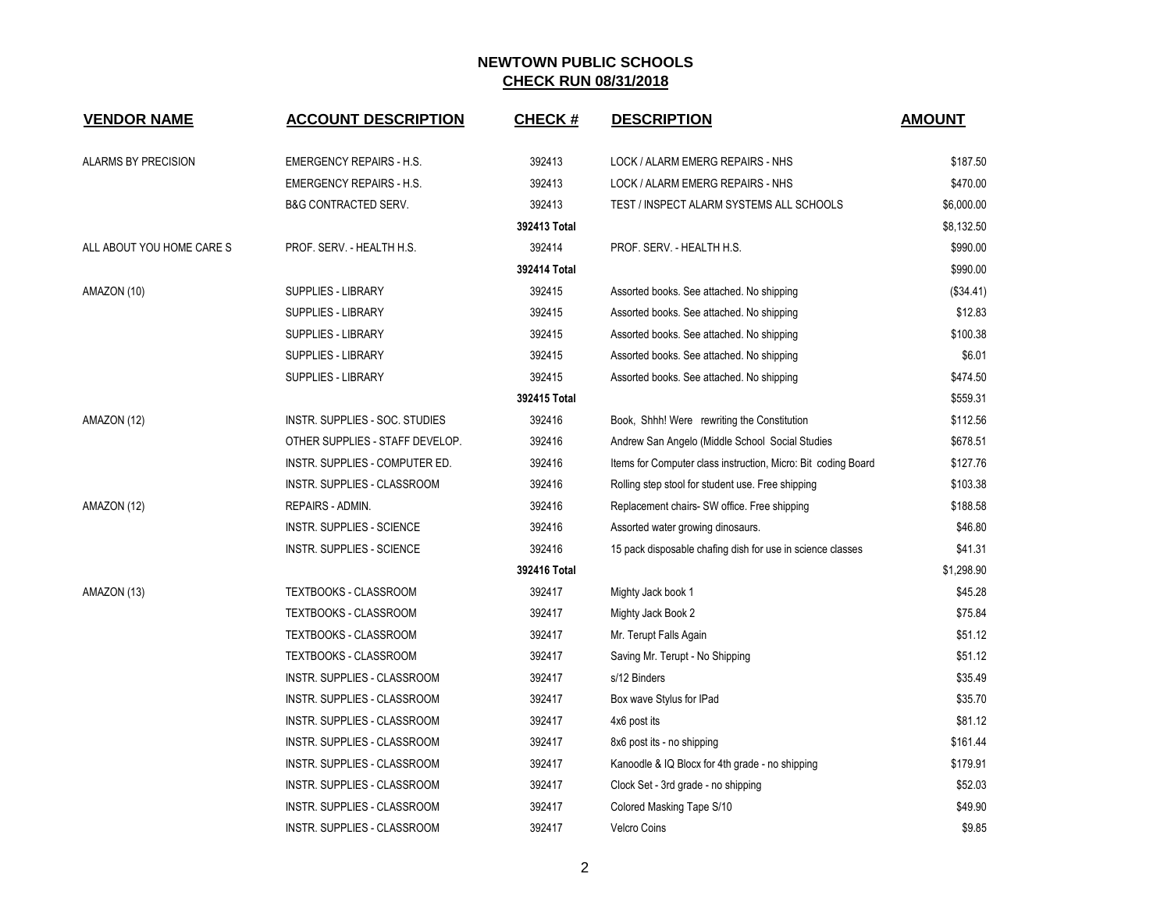| <b>VENDOR NAME</b>        | <b>ACCOUNT DESCRIPTION</b>       | <b>CHECK#</b> | <b>DESCRIPTION</b>                                            | <b>AMOUNT</b> |
|---------------------------|----------------------------------|---------------|---------------------------------------------------------------|---------------|
| ALARMS BY PRECISION       | <b>EMERGENCY REPAIRS - H.S.</b>  | 392413        | LOCK / ALARM EMERG REPAIRS - NHS                              | \$187.50      |
|                           | <b>EMERGENCY REPAIRS - H.S.</b>  | 392413        | LOCK / ALARM EMERG REPAIRS - NHS                              | \$470.00      |
|                           | <b>B&amp;G CONTRACTED SERV.</b>  | 392413        | TEST / INSPECT ALARM SYSTEMS ALL SCHOOLS                      | \$6,000.00    |
|                           |                                  | 392413 Total  |                                                               | \$8,132.50    |
| ALL ABOUT YOU HOME CARE S | PROF. SERV. - HEALTH H.S.        | 392414        | PROF. SERV. - HEALTH H.S.                                     | \$990.00      |
|                           |                                  | 392414 Total  |                                                               | \$990.00      |
| AMAZON (10)               | <b>SUPPLIES - LIBRARY</b>        | 392415        | Assorted books. See attached. No shipping                     | (\$34.41)     |
|                           | <b>SUPPLIES - LIBRARY</b>        | 392415        | Assorted books. See attached. No shipping                     | \$12.83       |
|                           | <b>SUPPLIES - LIBRARY</b>        | 392415        | Assorted books. See attached. No shipping                     | \$100.38      |
|                           | <b>SUPPLIES - LIBRARY</b>        | 392415        | Assorted books. See attached. No shipping                     | \$6.01        |
|                           | SUPPLIES - LIBRARY               | 392415        | Assorted books. See attached. No shipping                     | \$474.50      |
|                           |                                  | 392415 Total  |                                                               | \$559.31      |
| AMAZON (12)               | INSTR. SUPPLIES - SOC. STUDIES   | 392416        | Book, Shhh! Were rewriting the Constitution                   | \$112.56      |
|                           | OTHER SUPPLIES - STAFF DEVELOP.  | 392416        | Andrew San Angelo (Middle School Social Studies               | \$678.51      |
|                           | INSTR. SUPPLIES - COMPUTER ED.   | 392416        | Items for Computer class instruction, Micro: Bit coding Board | \$127.76      |
|                           | INSTR. SUPPLIES - CLASSROOM      | 392416        | Rolling step stool for student use. Free shipping             | \$103.38      |
| AMAZON (12)               | REPAIRS - ADMIN.                 | 392416        | Replacement chairs- SW office. Free shipping                  | \$188.58      |
|                           | <b>INSTR. SUPPLIES - SCIENCE</b> | 392416        | Assorted water growing dinosaurs.                             | \$46.80       |
|                           | INSTR. SUPPLIES - SCIENCE        | 392416        | 15 pack disposable chafing dish for use in science classes    | \$41.31       |
|                           |                                  | 392416 Total  |                                                               | \$1,298.90    |
| AMAZON (13)               | <b>TEXTBOOKS - CLASSROOM</b>     | 392417        | Mighty Jack book 1                                            | \$45.28       |
|                           | TEXTBOOKS - CLASSROOM            | 392417        | Mighty Jack Book 2                                            | \$75.84       |
|                           | TEXTBOOKS - CLASSROOM            | 392417        | Mr. Terupt Falls Again                                        | \$51.12       |
|                           | <b>TEXTBOOKS - CLASSROOM</b>     | 392417        | Saving Mr. Terupt - No Shipping                               | \$51.12       |
|                           | INSTR. SUPPLIES - CLASSROOM      | 392417        | s/12 Binders                                                  | \$35.49       |
|                           | INSTR. SUPPLIES - CLASSROOM      | 392417        | Box wave Stylus for IPad                                      | \$35.70       |
|                           | INSTR. SUPPLIES - CLASSROOM      | 392417        | 4x6 post its                                                  | \$81.12       |
|                           | INSTR. SUPPLIES - CLASSROOM      | 392417        | 8x6 post its - no shipping                                    | \$161.44      |
|                           | INSTR. SUPPLIES - CLASSROOM      | 392417        | Kanoodle & IQ Blocx for 4th grade - no shipping               | \$179.91      |
|                           | INSTR. SUPPLIES - CLASSROOM      | 392417        | Clock Set - 3rd grade - no shipping                           | \$52.03       |
|                           | INSTR. SUPPLIES - CLASSROOM      | 392417        | Colored Masking Tape S/10                                     | \$49.90       |
|                           | INSTR. SUPPLIES - CLASSROOM      | 392417        | <b>Velcro Coins</b>                                           | \$9.85        |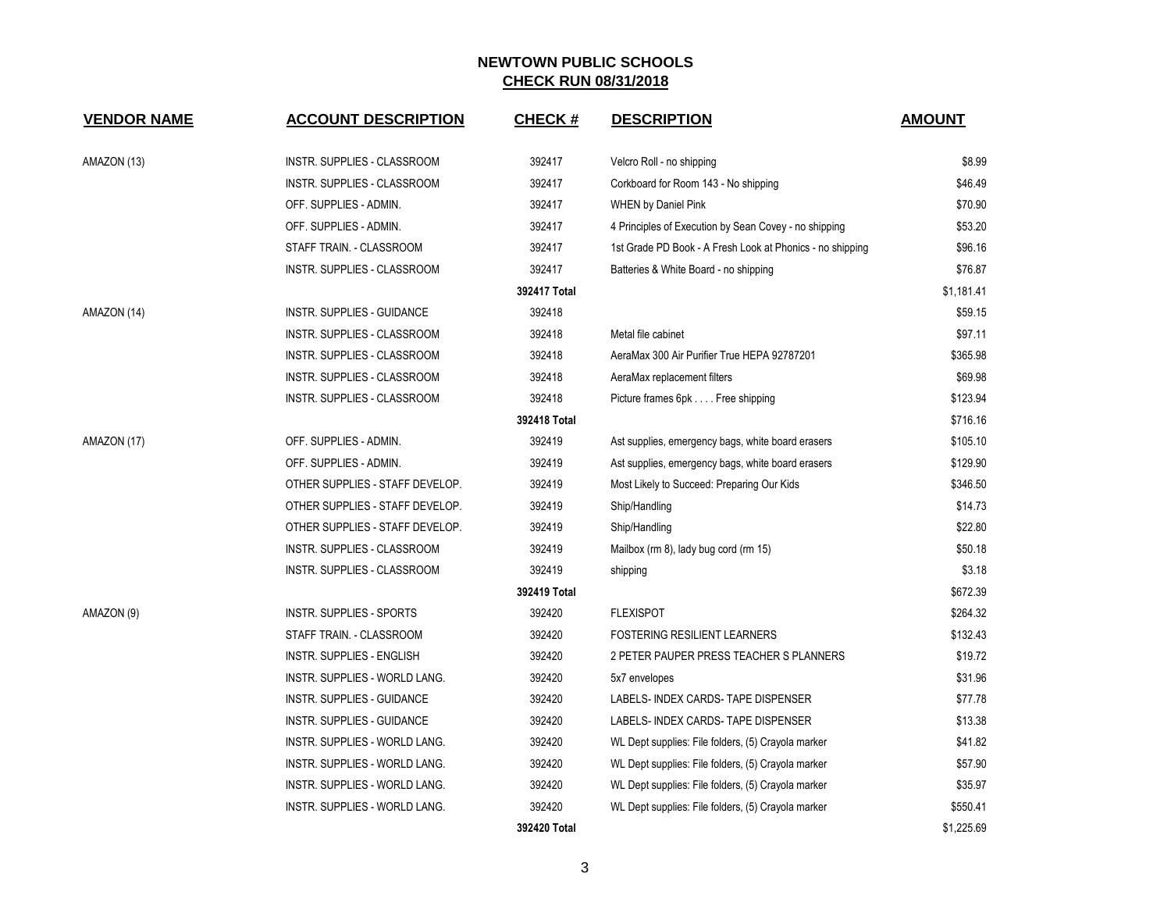| <b>VENDOR NAME</b> | <b>ACCOUNT DESCRIPTION</b>       | <b>CHECK#</b> | <b>DESCRIPTION</b>                                        | <b>AMOUNT</b> |
|--------------------|----------------------------------|---------------|-----------------------------------------------------------|---------------|
| AMAZON (13)        | INSTR. SUPPLIES - CLASSROOM      | 392417        | Velcro Roll - no shipping                                 | \$8.99        |
|                    | INSTR. SUPPLIES - CLASSROOM      | 392417        | Corkboard for Room 143 - No shipping                      | \$46.49       |
|                    | OFF. SUPPLIES - ADMIN.           | 392417        | <b>WHEN by Daniel Pink</b>                                | \$70.90       |
|                    | OFF. SUPPLIES - ADMIN.           | 392417        | 4 Principles of Execution by Sean Covey - no shipping     | \$53.20       |
|                    | STAFF TRAIN. - CLASSROOM         | 392417        | 1st Grade PD Book - A Fresh Look at Phonics - no shipping | \$96.16       |
|                    | INSTR. SUPPLIES - CLASSROOM      | 392417        | Batteries & White Board - no shipping                     | \$76.87       |
|                    |                                  | 392417 Total  |                                                           | \$1,181.41    |
| AMAZON (14)        | INSTR. SUPPLIES - GUIDANCE       | 392418        |                                                           | \$59.15       |
|                    | INSTR. SUPPLIES - CLASSROOM      | 392418        | Metal file cabinet                                        | \$97.11       |
|                    | INSTR. SUPPLIES - CLASSROOM      | 392418        | AeraMax 300 Air Purifier True HEPA 92787201               | \$365.98      |
|                    | INSTR. SUPPLIES - CLASSROOM      | 392418        | AeraMax replacement filters                               | \$69.98       |
|                    | INSTR. SUPPLIES - CLASSROOM      | 392418        | Picture frames 6pk Free shipping                          | \$123.94      |
|                    |                                  | 392418 Total  |                                                           | \$716.16      |
| AMAZON (17)        | OFF. SUPPLIES - ADMIN.           | 392419        | Ast supplies, emergency bags, white board erasers         | \$105.10      |
|                    | OFF. SUPPLIES - ADMIN.           | 392419        | Ast supplies, emergency bags, white board erasers         | \$129.90      |
|                    | OTHER SUPPLIES - STAFF DEVELOP.  | 392419        | Most Likely to Succeed: Preparing Our Kids                | \$346.50      |
|                    | OTHER SUPPLIES - STAFF DEVELOP.  | 392419        | Ship/Handling                                             | \$14.73       |
|                    | OTHER SUPPLIES - STAFF DEVELOP.  | 392419        | Ship/Handling                                             | \$22.80       |
|                    | INSTR. SUPPLIES - CLASSROOM      | 392419        | Mailbox (rm 8), lady bug cord (rm 15)                     | \$50.18       |
|                    | INSTR. SUPPLIES - CLASSROOM      | 392419        | shipping                                                  | \$3.18        |
|                    |                                  | 392419 Total  |                                                           | \$672.39      |
| AMAZON (9)         | INSTR. SUPPLIES - SPORTS         | 392420        | <b>FLEXISPOT</b>                                          | \$264.32      |
|                    | STAFF TRAIN. - CLASSROOM         | 392420        | <b>FOSTERING RESILIENT LEARNERS</b>                       | \$132.43      |
|                    | <b>INSTR. SUPPLIES - ENGLISH</b> | 392420        | 2 PETER PAUPER PRESS TEACHER S PLANNERS                   | \$19.72       |
|                    | INSTR. SUPPLIES - WORLD LANG.    | 392420        | 5x7 envelopes                                             | \$31.96       |
|                    | INSTR. SUPPLIES - GUIDANCE       | 392420        | LABELS- INDEX CARDS- TAPE DISPENSER                       | \$77.78       |
|                    | INSTR. SUPPLIES - GUIDANCE       | 392420        | LABELS- INDEX CARDS- TAPE DISPENSER                       | \$13.38       |
|                    | INSTR. SUPPLIES - WORLD LANG.    | 392420        | WL Dept supplies: File folders, (5) Crayola marker        | \$41.82       |
|                    | INSTR. SUPPLIES - WORLD LANG.    | 392420        | WL Dept supplies: File folders, (5) Crayola marker        | \$57.90       |
|                    | INSTR. SUPPLIES - WORLD LANG.    | 392420        | WL Dept supplies: File folders, (5) Crayola marker        | \$35.97       |
|                    | INSTR. SUPPLIES - WORLD LANG.    | 392420        | WL Dept supplies: File folders, (5) Crayola marker        | \$550.41      |
|                    |                                  | 392420 Total  |                                                           | \$1,225.69    |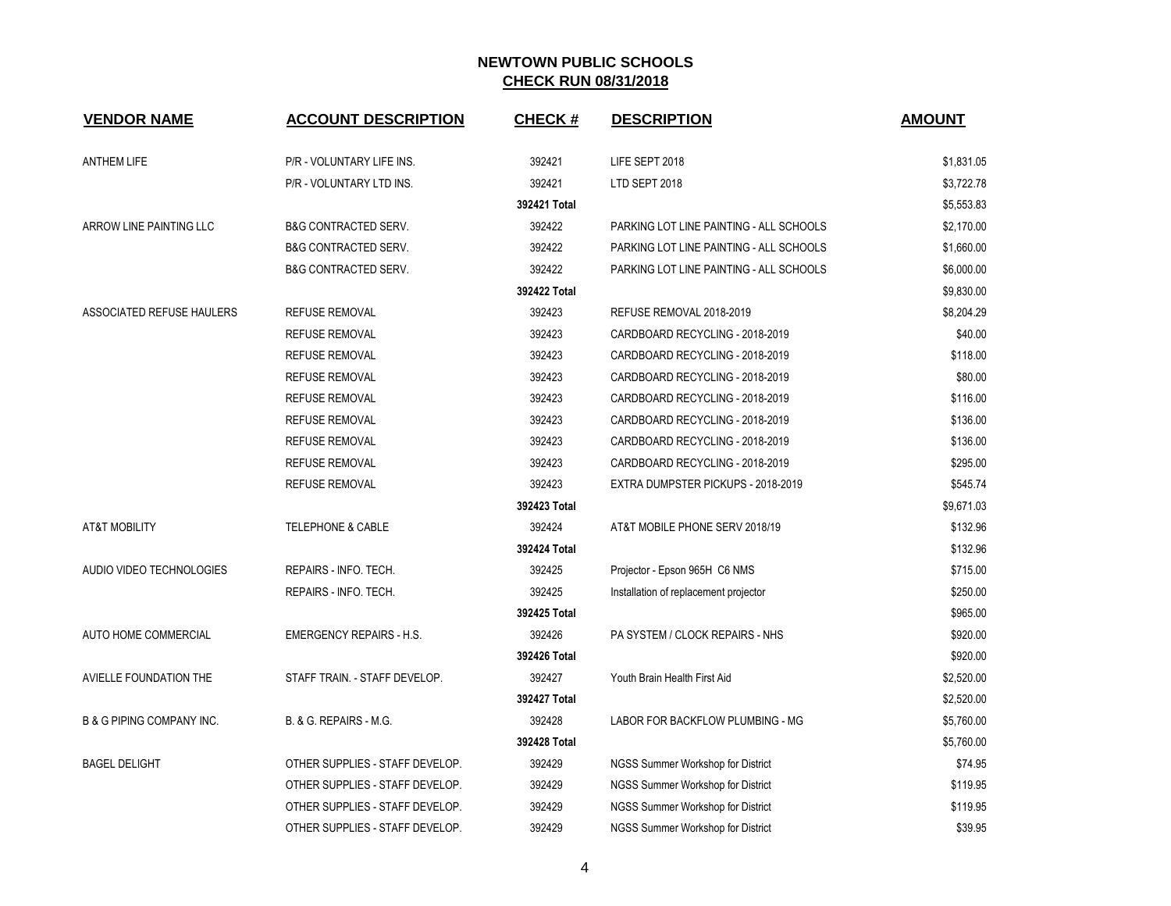| <b>VENDOR NAME</b>                   | <b>ACCOUNT DESCRIPTION</b>      | <b>CHECK#</b> | <b>DESCRIPTION</b>                      | <b>AMOUNT</b> |
|--------------------------------------|---------------------------------|---------------|-----------------------------------------|---------------|
| <b>ANTHEM LIFE</b>                   | P/R - VOLUNTARY LIFE INS.       | 392421        | LIFE SEPT 2018                          | \$1,831.05    |
|                                      | P/R - VOLUNTARY LTD INS.        | 392421        | LTD SEPT 2018                           | \$3,722.78    |
|                                      |                                 | 392421 Total  |                                         | \$5,553.83    |
| ARROW LINE PAINTING LLC              | <b>B&amp;G CONTRACTED SERV.</b> | 392422        | PARKING LOT LINE PAINTING - ALL SCHOOLS | \$2,170.00    |
|                                      | <b>B&amp;G CONTRACTED SERV.</b> | 392422        | PARKING LOT LINE PAINTING - ALL SCHOOLS | \$1,660.00    |
|                                      | <b>B&amp;G CONTRACTED SERV.</b> | 392422        | PARKING LOT LINE PAINTING - ALL SCHOOLS | \$6,000.00    |
|                                      |                                 | 392422 Total  |                                         | \$9,830.00    |
| <b>ASSOCIATED REFUSE HAULERS</b>     | <b>REFUSE REMOVAL</b>           | 392423        | REFUSE REMOVAL 2018-2019                | \$8,204.29    |
|                                      | <b>REFUSE REMOVAL</b>           | 392423        | CARDBOARD RECYCLING - 2018-2019         | \$40.00       |
|                                      | <b>REFUSE REMOVAL</b>           | 392423        | CARDBOARD RECYCLING - 2018-2019         | \$118.00      |
|                                      | <b>REFUSE REMOVAL</b>           | 392423        | CARDBOARD RECYCLING - 2018-2019         | \$80.00       |
|                                      | <b>REFUSE REMOVAL</b>           | 392423        | CARDBOARD RECYCLING - 2018-2019         | \$116.00      |
|                                      | <b>REFUSE REMOVAL</b>           | 392423        | CARDBOARD RECYCLING - 2018-2019         | \$136.00      |
|                                      | <b>REFUSE REMOVAL</b>           | 392423        | CARDBOARD RECYCLING - 2018-2019         | \$136.00      |
|                                      | <b>REFUSE REMOVAL</b>           | 392423        | CARDBOARD RECYCLING - 2018-2019         | \$295.00      |
|                                      | <b>REFUSE REMOVAL</b>           | 392423        | EXTRA DUMPSTER PICKUPS - 2018-2019      | \$545.74      |
|                                      |                                 | 392423 Total  |                                         | \$9,671.03    |
| <b>AT&amp;T MOBILITY</b>             | <b>TELEPHONE &amp; CABLE</b>    | 392424        | AT&T MOBILE PHONE SERV 2018/19          | \$132.96      |
|                                      |                                 | 392424 Total  |                                         | \$132.96      |
| AUDIO VIDEO TECHNOLOGIES             | REPAIRS - INFO. TECH.           | 392425        | Projector - Epson 965H C6 NMS           | \$715.00      |
|                                      | REPAIRS - INFO. TECH.           | 392425        | Installation of replacement projector   | \$250.00      |
|                                      |                                 | 392425 Total  |                                         | \$965.00      |
| AUTO HOME COMMERCIAL                 | <b>EMERGENCY REPAIRS - H.S.</b> | 392426        | PA SYSTEM / CLOCK REPAIRS - NHS         | \$920.00      |
|                                      |                                 | 392426 Total  |                                         | \$920.00      |
| AVIELLE FOUNDATION THE               | STAFF TRAIN. - STAFF DEVELOP.   | 392427        | Youth Brain Health First Aid            | \$2,520.00    |
|                                      |                                 | 392427 Total  |                                         | \$2,520.00    |
| <b>B &amp; G PIPING COMPANY INC.</b> | B. & G. REPAIRS - M.G.          | 392428        | LABOR FOR BACKFLOW PLUMBING - MG        | \$5,760.00    |
|                                      |                                 | 392428 Total  |                                         | \$5,760.00    |
| <b>BAGEL DELIGHT</b>                 | OTHER SUPPLIES - STAFF DEVELOP. | 392429        | NGSS Summer Workshop for District       | \$74.95       |
|                                      | OTHER SUPPLIES - STAFF DEVELOP. | 392429        | NGSS Summer Workshop for District       | \$119.95      |
|                                      | OTHER SUPPLIES - STAFF DEVELOP. | 392429        | NGSS Summer Workshop for District       | \$119.95      |
|                                      | OTHER SUPPLIES - STAFF DEVELOP. | 392429        | NGSS Summer Workshop for District       | \$39.95       |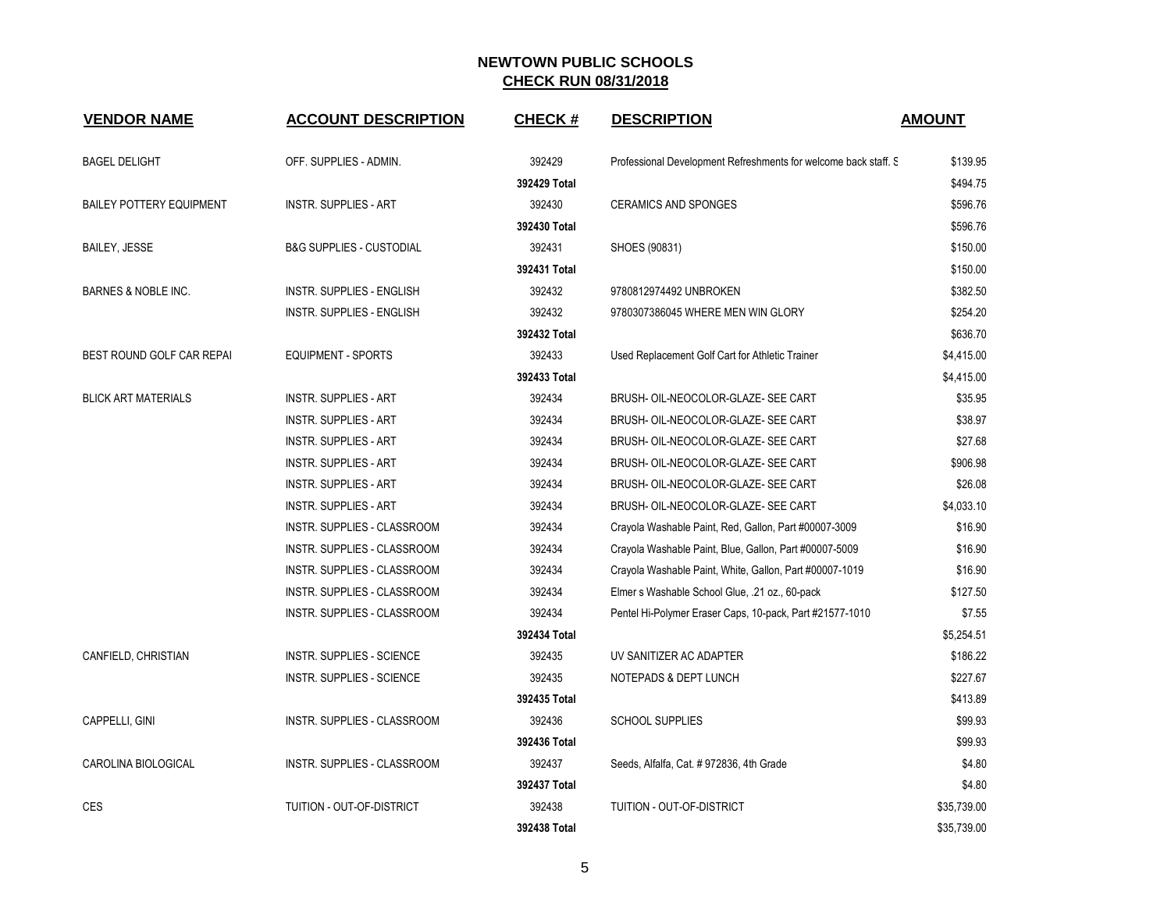| <b>VENDOR NAME</b>              | <b>ACCOUNT DESCRIPTION</b>          | <b>CHECK#</b> | <b>DESCRIPTION</b>                                              | <b>AMOUNT</b> |
|---------------------------------|-------------------------------------|---------------|-----------------------------------------------------------------|---------------|
| <b>BAGEL DELIGHT</b>            | OFF. SUPPLIES - ADMIN.              | 392429        | Professional Development Refreshments for welcome back staff. S | \$139.95      |
|                                 |                                     | 392429 Total  |                                                                 | \$494.75      |
| <b>BAILEY POTTERY EQUIPMENT</b> | <b>INSTR. SUPPLIES - ART</b>        | 392430        | <b>CERAMICS AND SPONGES</b>                                     | \$596.76      |
|                                 |                                     | 392430 Total  |                                                                 | \$596.76      |
| <b>BAILEY, JESSE</b>            | <b>B&amp;G SUPPLIES - CUSTODIAL</b> | 392431        | SHOES (90831)                                                   | \$150.00      |
|                                 |                                     | 392431 Total  |                                                                 | \$150.00      |
| <b>BARNES &amp; NOBLE INC.</b>  | INSTR. SUPPLIES - ENGLISH           | 392432        | 9780812974492 UNBROKEN                                          | \$382.50      |
|                                 | INSTR. SUPPLIES - ENGLISH           | 392432        | 9780307386045 WHERE MEN WIN GLORY                               | \$254.20      |
|                                 |                                     | 392432 Total  |                                                                 | \$636.70      |
| BEST ROUND GOLF CAR REPAI       | <b>EQUIPMENT - SPORTS</b>           | 392433        | Used Replacement Golf Cart for Athletic Trainer                 | \$4,415.00    |
|                                 |                                     | 392433 Total  |                                                                 | \$4,415.00    |
| <b>BLICK ART MATERIALS</b>      | <b>INSTR. SUPPLIES - ART</b>        | 392434        | BRUSH- OIL-NEOCOLOR-GLAZE- SEE CART                             | \$35.95       |
|                                 | <b>INSTR. SUPPLIES - ART</b>        | 392434        | BRUSH- OIL-NEOCOLOR-GLAZE- SEE CART                             | \$38.97       |
|                                 | <b>INSTR. SUPPLIES - ART</b>        | 392434        | BRUSH- OIL-NEOCOLOR-GLAZE- SEE CART                             | \$27.68       |
|                                 | <b>INSTR. SUPPLIES - ART</b>        | 392434        | BRUSH- OIL-NEOCOLOR-GLAZE- SEE CART                             | \$906.98      |
|                                 | <b>INSTR. SUPPLIES - ART</b>        | 392434        | BRUSH- OIL-NEOCOLOR-GLAZE- SEE CART                             | \$26.08       |
|                                 | <b>INSTR. SUPPLIES - ART</b>        | 392434        | BRUSH- OIL-NEOCOLOR-GLAZE- SEE CART                             | \$4,033.10    |
|                                 | INSTR. SUPPLIES - CLASSROOM         | 392434        | Crayola Washable Paint, Red, Gallon, Part #00007-3009           | \$16.90       |
|                                 | INSTR. SUPPLIES - CLASSROOM         | 392434        | Crayola Washable Paint, Blue, Gallon, Part #00007-5009          | \$16.90       |
|                                 | INSTR. SUPPLIES - CLASSROOM         | 392434        | Crayola Washable Paint, White, Gallon, Part #00007-1019         | \$16.90       |
|                                 | INSTR. SUPPLIES - CLASSROOM         | 392434        | Elmer s Washable School Glue, .21 oz., 60-pack                  | \$127.50      |
|                                 | INSTR. SUPPLIES - CLASSROOM         | 392434        | Pentel Hi-Polymer Eraser Caps, 10-pack, Part #21577-1010        | \$7.55        |
|                                 |                                     | 392434 Total  |                                                                 | \$5,254.51    |
| CANFIELD, CHRISTIAN             | <b>INSTR. SUPPLIES - SCIENCE</b>    | 392435        | UV SANITIZER AC ADAPTER                                         | \$186.22      |
|                                 | <b>INSTR. SUPPLIES - SCIENCE</b>    | 392435        | NOTEPADS & DEPT LUNCH                                           | \$227.67      |
|                                 |                                     | 392435 Total  |                                                                 | \$413.89      |
| CAPPELLI, GINI                  | INSTR. SUPPLIES - CLASSROOM         | 392436        | <b>SCHOOL SUPPLIES</b>                                          | \$99.93       |
|                                 |                                     | 392436 Total  |                                                                 | \$99.93       |
| CAROLINA BIOLOGICAL             | <b>INSTR. SUPPLIES - CLASSROOM</b>  | 392437        | Seeds, Alfalfa, Cat. # 972836, 4th Grade                        | \$4.80        |
|                                 |                                     | 392437 Total  |                                                                 | \$4.80        |
| <b>CES</b>                      | TUITION - OUT-OF-DISTRICT           | 392438        | <b>TUITION - OUT-OF-DISTRICT</b>                                | \$35,739.00   |
|                                 |                                     | 392438 Total  |                                                                 | \$35,739.00   |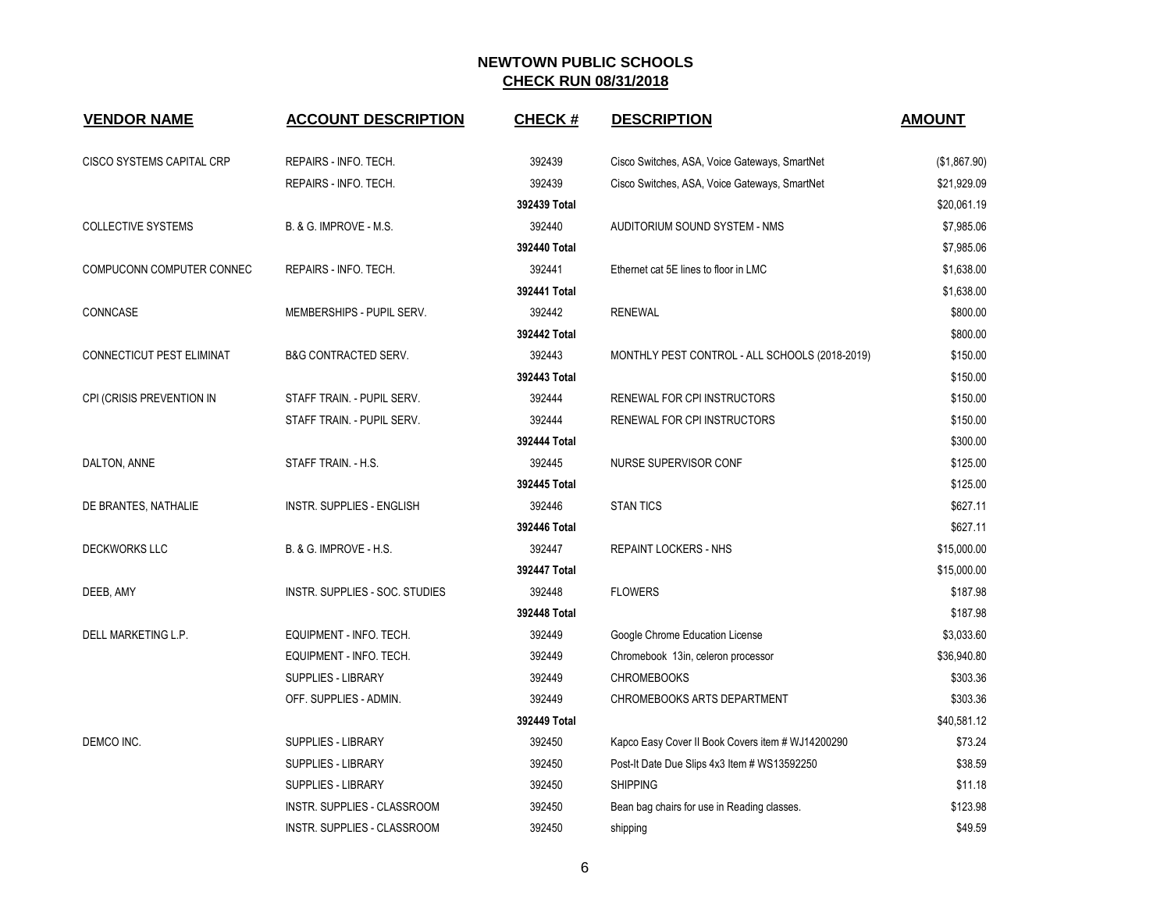| <b>VENDOR NAME</b>        | <b>ACCOUNT DESCRIPTION</b>      | <b>CHECK#</b> | <b>DESCRIPTION</b>                                | <b>AMOUNT</b> |
|---------------------------|---------------------------------|---------------|---------------------------------------------------|---------------|
| CISCO SYSTEMS CAPITAL CRP | REPAIRS - INFO. TECH.           | 392439        | Cisco Switches, ASA, Voice Gateways, SmartNet     | (\$1,867.90)  |
|                           | REPAIRS - INFO. TECH.           | 392439        | Cisco Switches, ASA, Voice Gateways, SmartNet     | \$21,929.09   |
|                           |                                 | 392439 Total  |                                                   | \$20,061.19   |
| <b>COLLECTIVE SYSTEMS</b> | B. & G. IMPROVE - M.S.          | 392440        | AUDITORIUM SOUND SYSTEM - NMS                     | \$7,985.06    |
|                           |                                 | 392440 Total  |                                                   | \$7,985.06    |
| COMPUCONN COMPUTER CONNEC | REPAIRS - INFO. TECH.           | 392441        | Ethernet cat 5E lines to floor in LMC             | \$1,638.00    |
|                           |                                 | 392441 Total  |                                                   | \$1,638.00    |
| CONNCASE                  | MEMBERSHIPS - PUPIL SERV.       | 392442        | <b>RENEWAL</b>                                    | \$800.00      |
|                           |                                 | 392442 Total  |                                                   | \$800.00      |
| CONNECTICUT PEST ELIMINAT | <b>B&amp;G CONTRACTED SERV.</b> | 392443        | MONTHLY PEST CONTROL - ALL SCHOOLS (2018-2019)    | \$150.00      |
|                           |                                 | 392443 Total  |                                                   | \$150.00      |
| CPI (CRISIS PREVENTION IN | STAFF TRAIN. - PUPIL SERV.      | 392444        | RENEWAL FOR CPI INSTRUCTORS                       | \$150.00      |
|                           | STAFF TRAIN. - PUPIL SERV.      | 392444        | RENEWAL FOR CPI INSTRUCTORS                       | \$150.00      |
|                           |                                 | 392444 Total  |                                                   | \$300.00      |
| DALTON, ANNE              | STAFF TRAIN. - H.S.             | 392445        | NURSE SUPERVISOR CONF                             | \$125.00      |
|                           |                                 | 392445 Total  |                                                   | \$125.00      |
| DE BRANTES, NATHALIE      | INSTR. SUPPLIES - ENGLISH       | 392446        | <b>STAN TICS</b>                                  | \$627.11      |
|                           |                                 | 392446 Total  |                                                   | \$627.11      |
| <b>DECKWORKS LLC</b>      | B. & G. IMPROVE - H.S.          | 392447        | <b>REPAINT LOCKERS - NHS</b>                      | \$15,000.00   |
|                           |                                 | 392447 Total  |                                                   | \$15,000.00   |
| DEEB, AMY                 | INSTR. SUPPLIES - SOC. STUDIES  | 392448        | <b>FLOWERS</b>                                    | \$187.98      |
|                           |                                 | 392448 Total  |                                                   | \$187.98      |
| DELL MARKETING L.P.       | EQUIPMENT - INFO. TECH.         | 392449        | Google Chrome Education License                   | \$3,033.60    |
|                           | EQUIPMENT - INFO. TECH.         | 392449        | Chromebook 13in, celeron processor                | \$36,940.80   |
|                           | <b>SUPPLIES - LIBRARY</b>       | 392449        | <b>CHROMEBOOKS</b>                                | \$303.36      |
|                           | OFF. SUPPLIES - ADMIN.          | 392449        | <b>CHROMEBOOKS ARTS DEPARTMENT</b>                | \$303.36      |
|                           |                                 | 392449 Total  |                                                   | \$40,581.12   |
| DEMCO INC.                | <b>SUPPLIES - LIBRARY</b>       | 392450        | Kapco Easy Cover II Book Covers item # WJ14200290 | \$73.24       |
|                           | <b>SUPPLIES - LIBRARY</b>       | 392450        | Post-It Date Due Slips 4x3 Item # WS13592250      | \$38.59       |
|                           | <b>SUPPLIES - LIBRARY</b>       | 392450        | <b>SHIPPING</b>                                   | \$11.18       |
|                           | INSTR. SUPPLIES - CLASSROOM     | 392450        | Bean bag chairs for use in Reading classes.       | \$123.98      |
|                           | INSTR. SUPPLIES - CLASSROOM     | 392450        | shipping                                          | \$49.59       |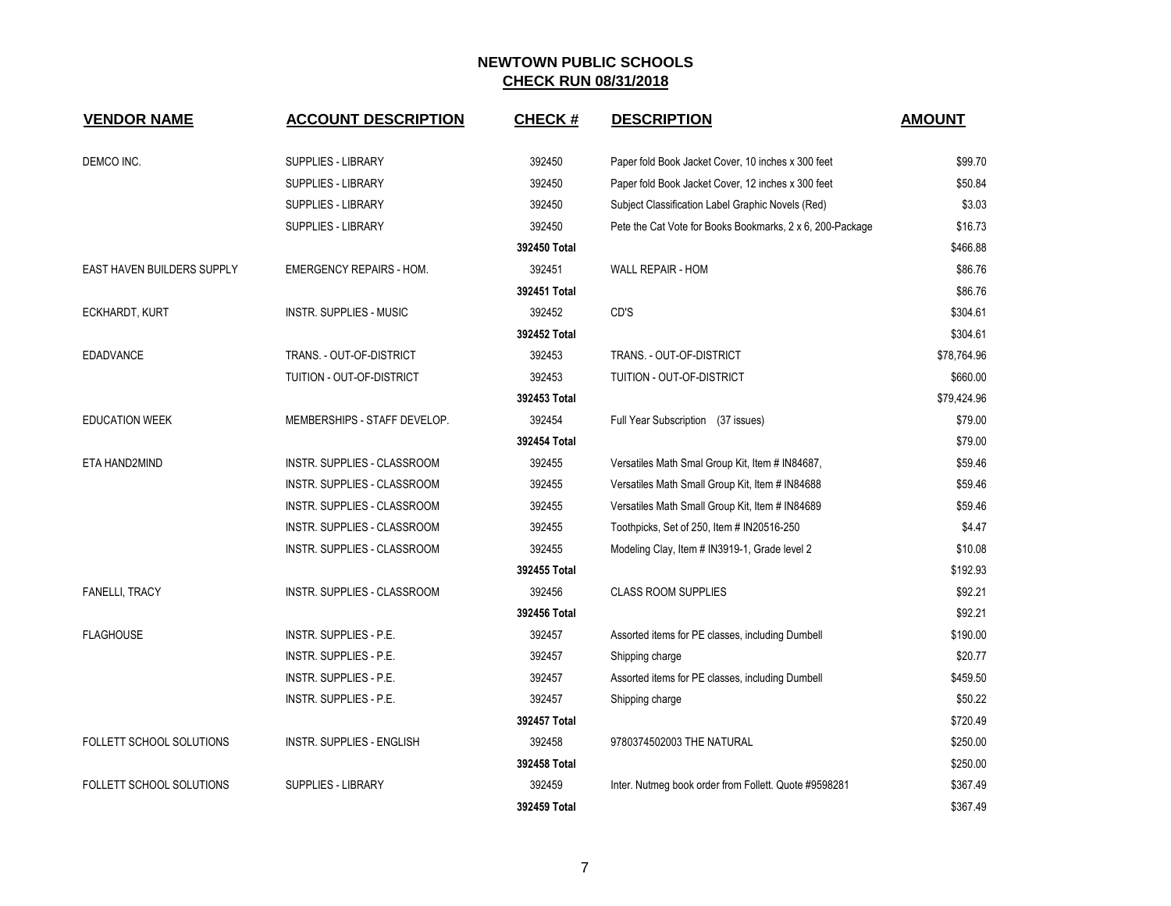| <b>VENDOR NAME</b>         | <b>ACCOUNT DESCRIPTION</b>         | <b>CHECK#</b> | <b>DESCRIPTION</b>                                        | <b>AMOUNT</b> |
|----------------------------|------------------------------------|---------------|-----------------------------------------------------------|---------------|
| DEMCO INC.                 | <b>SUPPLIES - LIBRARY</b>          | 392450        | Paper fold Book Jacket Cover, 10 inches x 300 feet        | \$99.70       |
|                            | <b>SUPPLIES - LIBRARY</b>          | 392450        | Paper fold Book Jacket Cover, 12 inches x 300 feet        | \$50.84       |
|                            | <b>SUPPLIES - LIBRARY</b>          | 392450        | Subject Classification Label Graphic Novels (Red)         | \$3.03        |
|                            | <b>SUPPLIES - LIBRARY</b>          | 392450        | Pete the Cat Vote for Books Bookmarks, 2 x 6, 200-Package | \$16.73       |
|                            |                                    | 392450 Total  |                                                           | \$466.88      |
| EAST HAVEN BUILDERS SUPPLY | <b>EMERGENCY REPAIRS - HOM.</b>    | 392451        | WALL REPAIR - HOM                                         | \$86.76       |
|                            |                                    | 392451 Total  |                                                           | \$86.76       |
| ECKHARDT, KURT             | <b>INSTR. SUPPLIES - MUSIC</b>     | 392452        | CD'S                                                      | \$304.61      |
|                            |                                    | 392452 Total  |                                                           | \$304.61      |
| EDADVANCE                  | TRANS. - OUT-OF-DISTRICT           | 392453        | TRANS. - OUT-OF-DISTRICT                                  | \$78,764.96   |
|                            | TUITION - OUT-OF-DISTRICT          | 392453        | <b>TUITION - OUT-OF-DISTRICT</b>                          | \$660.00      |
|                            |                                    | 392453 Total  |                                                           | \$79,424.96   |
| <b>EDUCATION WEEK</b>      | MEMBERSHIPS - STAFF DEVELOP.       | 392454        | Full Year Subscription (37 issues)                        | \$79.00       |
|                            |                                    | 392454 Total  |                                                           | \$79.00       |
| ETA HAND2MIND              | <b>INSTR. SUPPLIES - CLASSROOM</b> | 392455        | Versatiles Math Smal Group Kit, Item # IN84687,           | \$59.46       |
|                            | INSTR. SUPPLIES - CLASSROOM        | 392455        | Versatiles Math Small Group Kit, Item # IN84688           | \$59.46       |
|                            | INSTR. SUPPLIES - CLASSROOM        | 392455        | Versatiles Math Small Group Kit, Item # IN84689           | \$59.46       |
|                            | INSTR. SUPPLIES - CLASSROOM        | 392455        | Toothpicks, Set of 250, Item # IN20516-250                | \$4.47        |
|                            | INSTR. SUPPLIES - CLASSROOM        | 392455        | Modeling Clay, Item # IN3919-1, Grade level 2             | \$10.08       |
|                            |                                    | 392455 Total  |                                                           | \$192.93      |
| <b>FANELLI, TRACY</b>      | INSTR. SUPPLIES - CLASSROOM        | 392456        | <b>CLASS ROOM SUPPLIES</b>                                | \$92.21       |
|                            |                                    | 392456 Total  |                                                           | \$92.21       |
| <b>FLAGHOUSE</b>           | INSTR. SUPPLIES - P.E.             | 392457        | Assorted items for PE classes, including Dumbell          | \$190.00      |
|                            | <b>INSTR. SUPPLIES - P.E.</b>      | 392457        | Shipping charge                                           | \$20.77       |
|                            | INSTR. SUPPLIES - P.E.             | 392457        | Assorted items for PE classes, including Dumbell          | \$459.50      |
|                            | INSTR. SUPPLIES - P.E.             | 392457        | Shipping charge                                           | \$50.22       |
|                            |                                    | 392457 Total  |                                                           | \$720.49      |
| FOLLETT SCHOOL SOLUTIONS   | INSTR. SUPPLIES - ENGLISH          | 392458        | 9780374502003 THE NATURAL                                 | \$250.00      |
|                            |                                    | 392458 Total  |                                                           | \$250.00      |
| FOLLETT SCHOOL SOLUTIONS   | <b>SUPPLIES - LIBRARY</b>          | 392459        | Inter. Nutmeg book order from Follett. Quote #9598281     | \$367.49      |
|                            |                                    | 392459 Total  |                                                           | \$367.49      |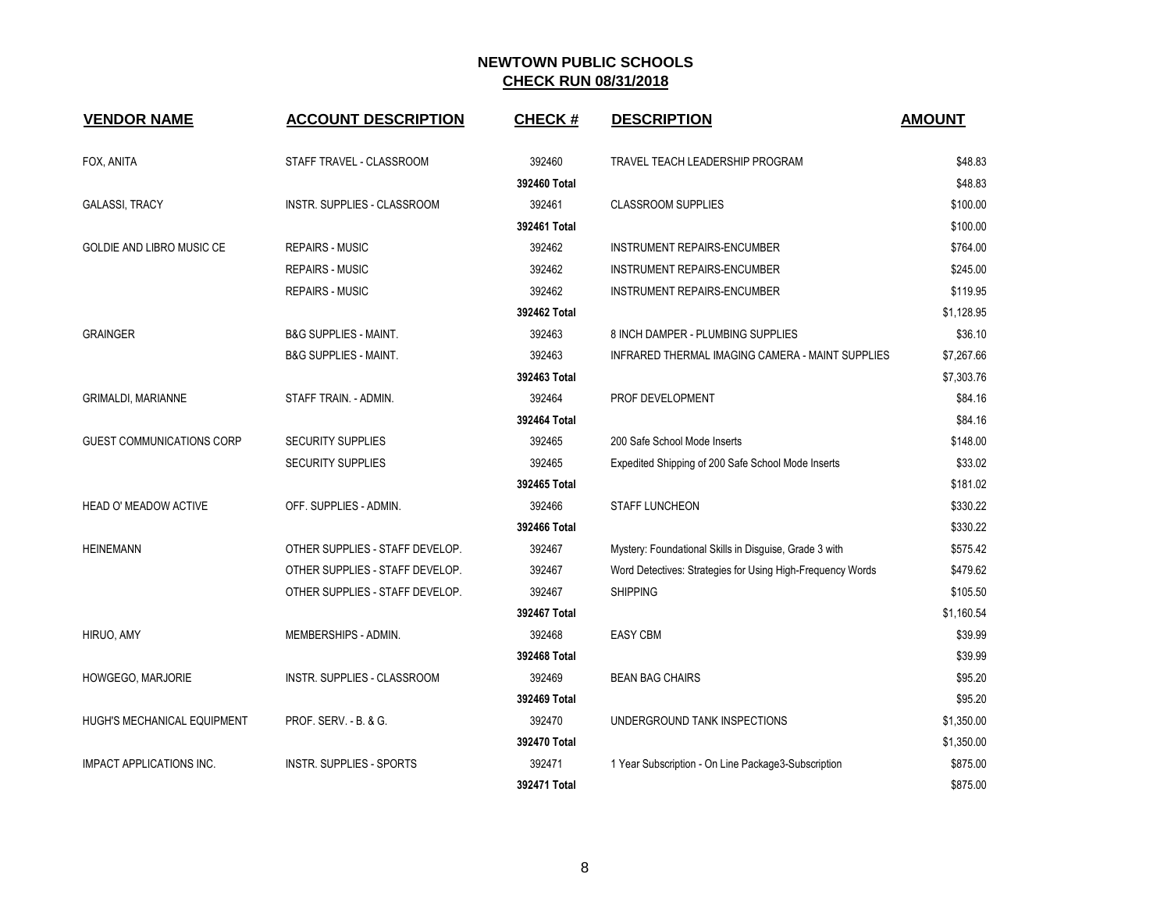| <b>VENDOR NAME</b>              | <b>ACCOUNT DESCRIPTION</b>       | <b>CHECK#</b> | <b>DESCRIPTION</b>                                         | <b>AMOUNT</b> |
|---------------------------------|----------------------------------|---------------|------------------------------------------------------------|---------------|
| FOX, ANITA                      | STAFF TRAVEL - CLASSROOM         | 392460        | TRAVEL TEACH LEADERSHIP PROGRAM                            | \$48.83       |
|                                 |                                  | 392460 Total  |                                                            | \$48.83       |
| <b>GALASSI, TRACY</b>           | INSTR. SUPPLIES - CLASSROOM      | 392461        | <b>CLASSROOM SUPPLIES</b>                                  | \$100.00      |
|                                 |                                  | 392461 Total  |                                                            | \$100.00      |
| GOLDIE AND LIBRO MUSIC CE       | <b>REPAIRS - MUSIC</b>           | 392462        | INSTRUMENT REPAIRS-ENCUMBER                                | \$764.00      |
|                                 | <b>REPAIRS - MUSIC</b>           | 392462        | INSTRUMENT REPAIRS-ENCUMBER                                | \$245.00      |
|                                 | <b>REPAIRS - MUSIC</b>           | 392462        | INSTRUMENT REPAIRS-ENCUMBER                                | \$119.95      |
|                                 |                                  | 392462 Total  |                                                            | \$1,128.95    |
| <b>GRAINGER</b>                 | <b>B&amp;G SUPPLIES - MAINT.</b> | 392463        | 8 INCH DAMPER - PLUMBING SUPPLIES                          | \$36.10       |
|                                 | <b>B&amp;G SUPPLIES - MAINT.</b> | 392463        | INFRARED THERMAL IMAGING CAMERA - MAINT SUPPLIES           | \$7,267.66    |
|                                 |                                  | 392463 Total  |                                                            | \$7,303.76    |
| <b>GRIMALDI, MARIANNE</b>       | STAFF TRAIN. - ADMIN.            | 392464        | PROF DEVELOPMENT                                           | \$84.16       |
|                                 |                                  | 392464 Total  |                                                            | \$84.16       |
| GUEST COMMUNICATIONS CORP       | <b>SECURITY SUPPLIES</b>         | 392465        | 200 Safe School Mode Inserts                               | \$148.00      |
|                                 | <b>SECURITY SUPPLIES</b>         | 392465        | Expedited Shipping of 200 Safe School Mode Inserts         | \$33.02       |
|                                 |                                  | 392465 Total  |                                                            | \$181.02      |
| <b>HEAD O' MEADOW ACTIVE</b>    | OFF. SUPPLIES - ADMIN.           | 392466        | <b>STAFF LUNCHEON</b>                                      | \$330.22      |
|                                 |                                  | 392466 Total  |                                                            | \$330.22      |
| <b>HEINEMANN</b>                | OTHER SUPPLIES - STAFF DEVELOP.  | 392467        | Mystery: Foundational Skills in Disguise, Grade 3 with     | \$575.42      |
|                                 | OTHER SUPPLIES - STAFF DEVELOP.  | 392467        | Word Detectives: Strategies for Using High-Frequency Words | \$479.62      |
|                                 | OTHER SUPPLIES - STAFF DEVELOP.  | 392467        | <b>SHIPPING</b>                                            | \$105.50      |
|                                 |                                  | 392467 Total  |                                                            | \$1,160.54    |
| HIRUO, AMY                      | MEMBERSHIPS - ADMIN.             | 392468        | <b>EASY CBM</b>                                            | \$39.99       |
|                                 |                                  | 392468 Total  |                                                            | \$39.99       |
| HOWGEGO, MARJORIE               | INSTR. SUPPLIES - CLASSROOM      | 392469        | <b>BEAN BAG CHAIRS</b>                                     | \$95.20       |
|                                 |                                  | 392469 Total  |                                                            | \$95.20       |
| HUGH'S MECHANICAL EQUIPMENT     | PROF. SERV. - B. & G.            | 392470        | UNDERGROUND TANK INSPECTIONS                               | \$1,350.00    |
|                                 |                                  | 392470 Total  |                                                            | \$1,350.00    |
| <b>IMPACT APPLICATIONS INC.</b> | <b>INSTR. SUPPLIES - SPORTS</b>  | 392471        | 1 Year Subscription - On Line Package3-Subscription        | \$875.00      |
|                                 |                                  | 392471 Total  |                                                            | \$875.00      |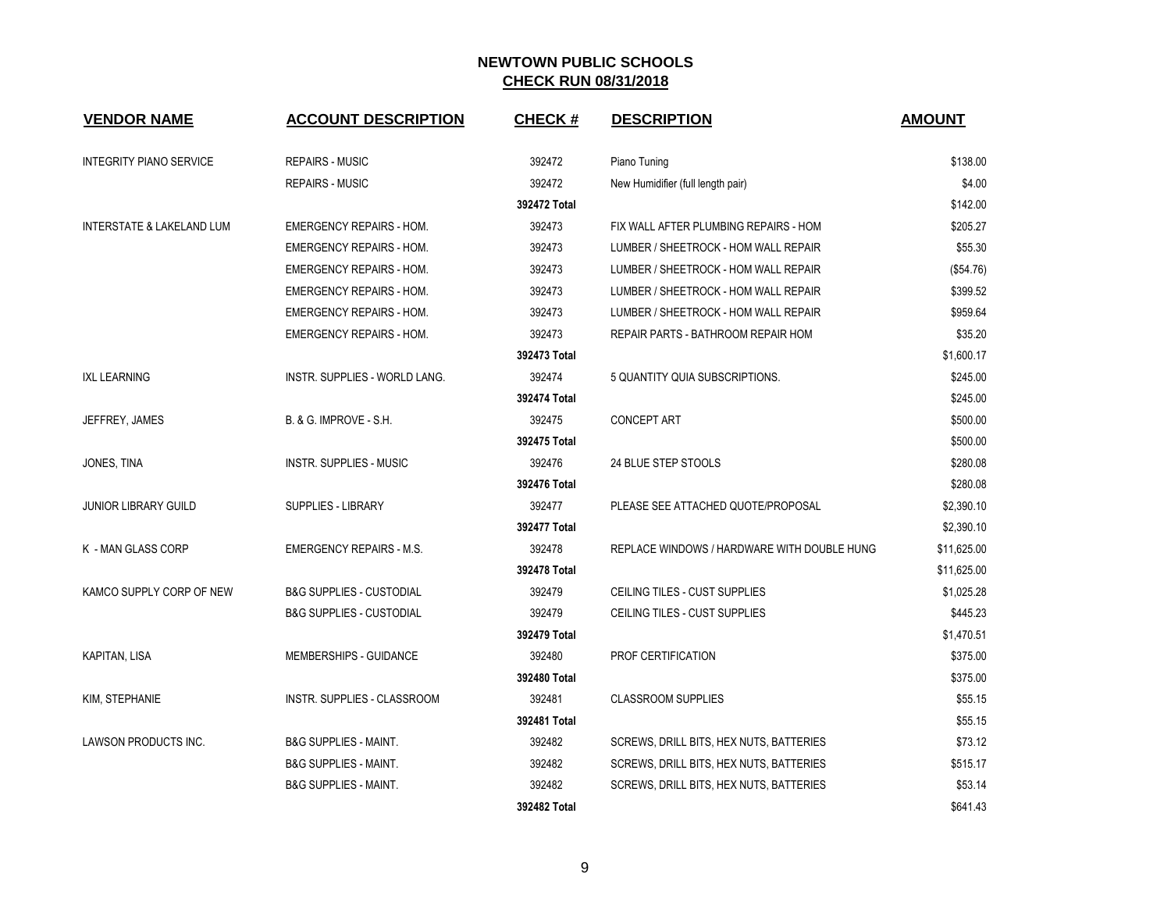| <b>VENDOR NAME</b>                   | <b>ACCOUNT DESCRIPTION</b>          | <b>CHECK#</b> | <b>DESCRIPTION</b>                          | <b>AMOUNT</b> |
|--------------------------------------|-------------------------------------|---------------|---------------------------------------------|---------------|
| <b>INTEGRITY PIANO SERVICE</b>       | <b>REPAIRS - MUSIC</b>              | 392472        | Piano Tuning                                | \$138.00      |
|                                      | <b>REPAIRS - MUSIC</b>              | 392472        | New Humidifier (full length pair)           | \$4.00        |
|                                      |                                     | 392472 Total  |                                             | \$142.00      |
| <b>INTERSTATE &amp; LAKELAND LUM</b> | <b>EMERGENCY REPAIRS - HOM.</b>     | 392473        | FIX WALL AFTER PLUMBING REPAIRS - HOM       | \$205.27      |
|                                      | <b>EMERGENCY REPAIRS - HOM.</b>     | 392473        | LUMBER / SHEETROCK - HOM WALL REPAIR        | \$55.30       |
|                                      | <b>EMERGENCY REPAIRS - HOM.</b>     | 392473        | LUMBER / SHEETROCK - HOM WALL REPAIR        | (\$54.76)     |
|                                      | <b>EMERGENCY REPAIRS - HOM.</b>     | 392473        | LUMBER / SHEETROCK - HOM WALL REPAIR        | \$399.52      |
|                                      | <b>EMERGENCY REPAIRS - HOM.</b>     | 392473        | LUMBER / SHEETROCK - HOM WALL REPAIR        | \$959.64      |
|                                      | <b>EMERGENCY REPAIRS - HOM.</b>     | 392473        | REPAIR PARTS - BATHROOM REPAIR HOM          | \$35.20       |
|                                      |                                     | 392473 Total  |                                             | \$1,600.17    |
| <b>IXL LEARNING</b>                  | INSTR. SUPPLIES - WORLD LANG.       | 392474        | 5 QUANTITY QUIA SUBSCRIPTIONS.              | \$245.00      |
|                                      |                                     | 392474 Total  |                                             | \$245.00      |
| JEFFREY, JAMES                       | B. & G. IMPROVE - S.H.              | 392475        | <b>CONCEPT ART</b>                          | \$500.00      |
|                                      |                                     | 392475 Total  |                                             | \$500.00      |
| JONES, TINA                          | <b>INSTR. SUPPLIES - MUSIC</b>      | 392476        | 24 BLUE STEP STOOLS                         | \$280.08      |
|                                      |                                     | 392476 Total  |                                             | \$280.08      |
| <b>JUNIOR LIBRARY GUILD</b>          | <b>SUPPLIES - LIBRARY</b>           | 392477        | PLEASE SEE ATTACHED QUOTE/PROPOSAL          | \$2,390.10    |
|                                      |                                     | 392477 Total  |                                             | \$2,390.10    |
| K - MAN GLASS CORP                   | <b>EMERGENCY REPAIRS - M.S.</b>     | 392478        | REPLACE WINDOWS / HARDWARE WITH DOUBLE HUNG | \$11,625.00   |
|                                      |                                     | 392478 Total  |                                             | \$11,625.00   |
| KAMCO SUPPLY CORP OF NEW             | <b>B&amp;G SUPPLIES - CUSTODIAL</b> | 392479        | CEILING TILES - CUST SUPPLIES               | \$1,025.28    |
|                                      | <b>B&amp;G SUPPLIES - CUSTODIAL</b> | 392479        | CEILING TILES - CUST SUPPLIES               | \$445.23      |
|                                      |                                     | 392479 Total  |                                             | \$1,470.51    |
| KAPITAN, LISA                        | MEMBERSHIPS - GUIDANCE              | 392480        | PROF CERTIFICATION                          | \$375.00      |
|                                      |                                     | 392480 Total  |                                             | \$375.00      |
| KIM, STEPHANIE                       | INSTR. SUPPLIES - CLASSROOM         | 392481        | <b>CLASSROOM SUPPLIES</b>                   | \$55.15       |
|                                      |                                     | 392481 Total  |                                             | \$55.15       |
| LAWSON PRODUCTS INC.                 | <b>B&amp;G SUPPLIES - MAINT.</b>    | 392482        | SCREWS, DRILL BITS, HEX NUTS, BATTERIES     | \$73.12       |
|                                      | <b>B&amp;G SUPPLIES - MAINT.</b>    | 392482        | SCREWS, DRILL BITS, HEX NUTS, BATTERIES     | \$515.17      |
|                                      | <b>B&amp;G SUPPLIES - MAINT.</b>    | 392482        | SCREWS, DRILL BITS, HEX NUTS, BATTERIES     | \$53.14       |
|                                      |                                     | 392482 Total  |                                             | \$641.43      |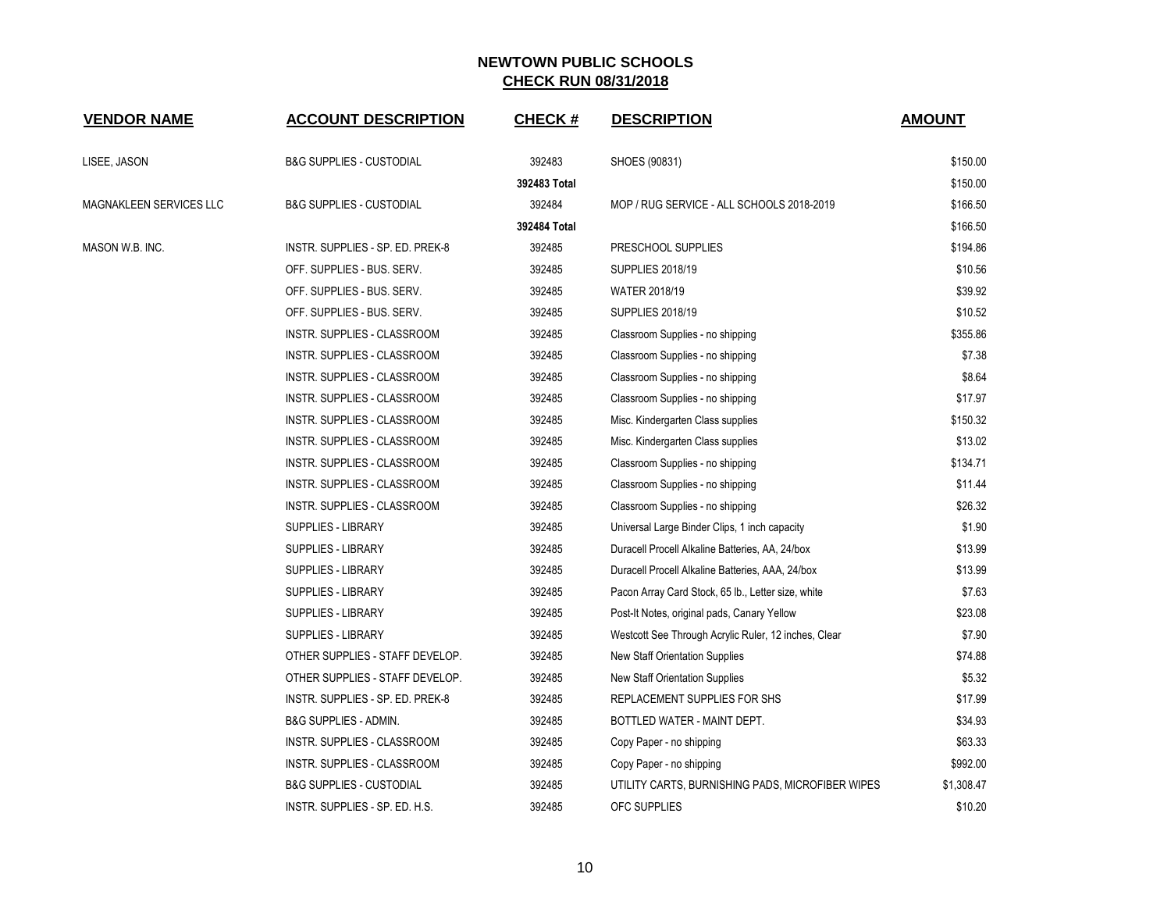| <b>VENDOR NAME</b>      | <b>ACCOUNT DESCRIPTION</b>          | <b>CHECK#</b> | <b>DESCRIPTION</b>                                   | <b>AMOUNT</b> |
|-------------------------|-------------------------------------|---------------|------------------------------------------------------|---------------|
| LISEE, JASON            | <b>B&amp;G SUPPLIES - CUSTODIAL</b> | 392483        | SHOES (90831)                                        | \$150.00      |
|                         |                                     | 392483 Total  |                                                      | \$150.00      |
| MAGNAKLEEN SERVICES LLC | <b>B&amp;G SUPPLIES - CUSTODIAL</b> | 392484        | MOP / RUG SERVICE - ALL SCHOOLS 2018-2019            | \$166.50      |
|                         |                                     | 392484 Total  |                                                      | \$166.50      |
| MASON W.B. INC.         | INSTR. SUPPLIES - SP. ED. PREK-8    | 392485        | PRESCHOOL SUPPLIES                                   | \$194.86      |
|                         | OFF. SUPPLIES - BUS. SERV.          | 392485        | <b>SUPPLIES 2018/19</b>                              | \$10.56       |
|                         | OFF. SUPPLIES - BUS. SERV.          | 392485        | <b>WATER 2018/19</b>                                 | \$39.92       |
|                         | OFF. SUPPLIES - BUS. SERV.          | 392485        | <b>SUPPLIES 2018/19</b>                              | \$10.52       |
|                         | INSTR. SUPPLIES - CLASSROOM         | 392485        | Classroom Supplies - no shipping                     | \$355.86      |
|                         | INSTR. SUPPLIES - CLASSROOM         | 392485        | Classroom Supplies - no shipping                     | \$7.38        |
|                         | INSTR. SUPPLIES - CLASSROOM         | 392485        | Classroom Supplies - no shipping                     | \$8.64        |
|                         | INSTR. SUPPLIES - CLASSROOM         | 392485        | Classroom Supplies - no shipping                     | \$17.97       |
|                         | INSTR. SUPPLIES - CLASSROOM         | 392485        | Misc. Kindergarten Class supplies                    | \$150.32      |
|                         | INSTR. SUPPLIES - CLASSROOM         | 392485        | Misc. Kindergarten Class supplies                    | \$13.02       |
|                         | INSTR. SUPPLIES - CLASSROOM         | 392485        | Classroom Supplies - no shipping                     | \$134.71      |
|                         | INSTR. SUPPLIES - CLASSROOM         | 392485        | Classroom Supplies - no shipping                     | \$11.44       |
|                         | INSTR. SUPPLIES - CLASSROOM         | 392485        | Classroom Supplies - no shipping                     | \$26.32       |
|                         | <b>SUPPLIES - LIBRARY</b>           | 392485        | Universal Large Binder Clips, 1 inch capacity        | \$1.90        |
|                         | <b>SUPPLIES - LIBRARY</b>           | 392485        | Duracell Procell Alkaline Batteries, AA, 24/box      | \$13.99       |
|                         | <b>SUPPLIES - LIBRARY</b>           | 392485        | Duracell Procell Alkaline Batteries, AAA, 24/box     | \$13.99       |
|                         | <b>SUPPLIES - LIBRARY</b>           | 392485        | Pacon Array Card Stock, 65 lb., Letter size, white   | \$7.63        |
|                         | <b>SUPPLIES - LIBRARY</b>           | 392485        | Post-It Notes, original pads, Canary Yellow          | \$23.08       |
|                         | <b>SUPPLIES - LIBRARY</b>           | 392485        | Westcott See Through Acrylic Ruler, 12 inches, Clear | \$7.90        |
|                         | OTHER SUPPLIES - STAFF DEVELOP.     | 392485        | <b>New Staff Orientation Supplies</b>                | \$74.88       |
|                         | OTHER SUPPLIES - STAFF DEVELOP.     | 392485        | <b>New Staff Orientation Supplies</b>                | \$5.32        |
|                         | INSTR. SUPPLIES - SP. ED. PREK-8    | 392485        | REPLACEMENT SUPPLIES FOR SHS                         | \$17.99       |
|                         | <b>B&amp;G SUPPLIES - ADMIN.</b>    | 392485        | BOTTLED WATER - MAINT DEPT.                          | \$34.93       |
|                         | INSTR. SUPPLIES - CLASSROOM         | 392485        | Copy Paper - no shipping                             | \$63.33       |
|                         | INSTR. SUPPLIES - CLASSROOM         | 392485        | Copy Paper - no shipping                             | \$992.00      |
|                         | <b>B&amp;G SUPPLIES - CUSTODIAL</b> | 392485        | UTILITY CARTS, BURNISHING PADS, MICROFIBER WIPES     | \$1,308.47    |
|                         | INSTR. SUPPLIES - SP. ED. H.S.      | 392485        | <b>OFC SUPPLIES</b>                                  | \$10.20       |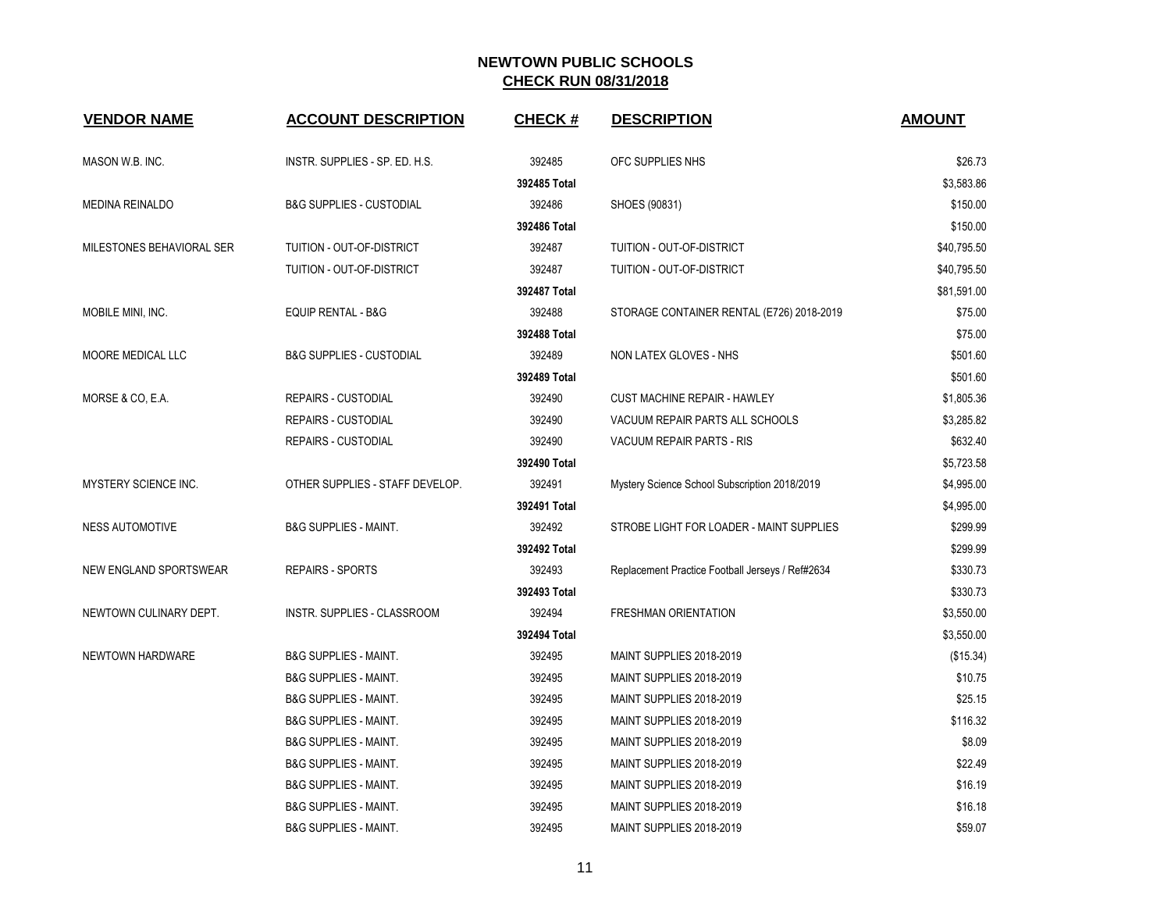| <b>VENDOR NAME</b>        | <b>ACCOUNT DESCRIPTION</b>          | <b>CHECK#</b> | <b>DESCRIPTION</b>                               | <b>AMOUNT</b> |
|---------------------------|-------------------------------------|---------------|--------------------------------------------------|---------------|
| MASON W.B. INC.           | INSTR. SUPPLIES - SP. ED. H.S.      | 392485        | OFC SUPPLIES NHS                                 | \$26.73       |
|                           |                                     | 392485 Total  |                                                  | \$3,583.86    |
| <b>MEDINA REINALDO</b>    | <b>B&amp;G SUPPLIES - CUSTODIAL</b> | 392486        | SHOES (90831)                                    | \$150.00      |
|                           |                                     | 392486 Total  |                                                  | \$150.00      |
| MILESTONES BEHAVIORAL SER | TUITION - OUT-OF-DISTRICT           | 392487        | TUITION - OUT-OF-DISTRICT                        | \$40,795.50   |
|                           | TUITION - OUT-OF-DISTRICT           | 392487        | TUITION - OUT-OF-DISTRICT                        | \$40,795.50   |
|                           |                                     | 392487 Total  |                                                  | \$81,591.00   |
| MOBILE MINI, INC.         | <b>EQUIP RENTAL - B&amp;G</b>       | 392488        | STORAGE CONTAINER RENTAL (E726) 2018-2019        | \$75.00       |
|                           |                                     | 392488 Total  |                                                  | \$75.00       |
| MOORE MEDICAL LLC         | <b>B&amp;G SUPPLIES - CUSTODIAL</b> | 392489        | NON LATEX GLOVES - NHS                           | \$501.60      |
|                           |                                     | 392489 Total  |                                                  | \$501.60      |
| MORSE & CO, E.A.          | REPAIRS - CUSTODIAL                 | 392490        | <b>CUST MACHINE REPAIR - HAWLEY</b>              | \$1,805.36    |
|                           | <b>REPAIRS - CUSTODIAL</b>          | 392490        | VACUUM REPAIR PARTS ALL SCHOOLS                  | \$3,285.82    |
|                           | <b>REPAIRS - CUSTODIAL</b>          | 392490        | <b>VACUUM REPAIR PARTS - RIS</b>                 | \$632.40      |
|                           |                                     | 392490 Total  |                                                  | \$5,723.58    |
| MYSTERY SCIENCE INC.      | OTHER SUPPLIES - STAFF DEVELOP.     | 392491        | Mystery Science School Subscription 2018/2019    | \$4,995.00    |
|                           |                                     | 392491 Total  |                                                  | \$4,995.00    |
| <b>NESS AUTOMOTIVE</b>    | <b>B&amp;G SUPPLIES - MAINT.</b>    | 392492        | STROBE LIGHT FOR LOADER - MAINT SUPPLIES         | \$299.99      |
|                           |                                     | 392492 Total  |                                                  | \$299.99      |
| NEW ENGLAND SPORTSWEAR    | <b>REPAIRS - SPORTS</b>             | 392493        | Replacement Practice Football Jerseys / Ref#2634 | \$330.73      |
|                           |                                     | 392493 Total  |                                                  | \$330.73      |
| NEWTOWN CULINARY DEPT.    | INSTR. SUPPLIES - CLASSROOM         | 392494        | <b>FRESHMAN ORIENTATION</b>                      | \$3,550.00    |
|                           |                                     | 392494 Total  |                                                  | \$3,550.00    |
| NEWTOWN HARDWARE          | <b>B&amp;G SUPPLIES - MAINT.</b>    | 392495        | MAINT SUPPLIES 2018-2019                         | (\$15.34)     |
|                           | <b>B&amp;G SUPPLIES - MAINT.</b>    | 392495        | MAINT SUPPLIES 2018-2019                         | \$10.75       |
|                           | <b>B&amp;G SUPPLIES - MAINT.</b>    | 392495        | MAINT SUPPLIES 2018-2019                         | \$25.15       |
|                           | <b>B&amp;G SUPPLIES - MAINT.</b>    | 392495        | MAINT SUPPLIES 2018-2019                         | \$116.32      |
|                           | <b>B&amp;G SUPPLIES - MAINT.</b>    | 392495        | MAINT SUPPLIES 2018-2019                         | \$8.09        |
|                           | <b>B&amp;G SUPPLIES - MAINT.</b>    | 392495        | MAINT SUPPLIES 2018-2019                         | \$22.49       |
|                           | <b>B&amp;G SUPPLIES - MAINT.</b>    | 392495        | MAINT SUPPLIES 2018-2019                         | \$16.19       |
|                           | <b>B&amp;G SUPPLIES - MAINT.</b>    | 392495        | MAINT SUPPLIES 2018-2019                         | \$16.18       |
|                           | <b>B&amp;G SUPPLIES - MAINT.</b>    | 392495        | MAINT SUPPLIES 2018-2019                         | \$59.07       |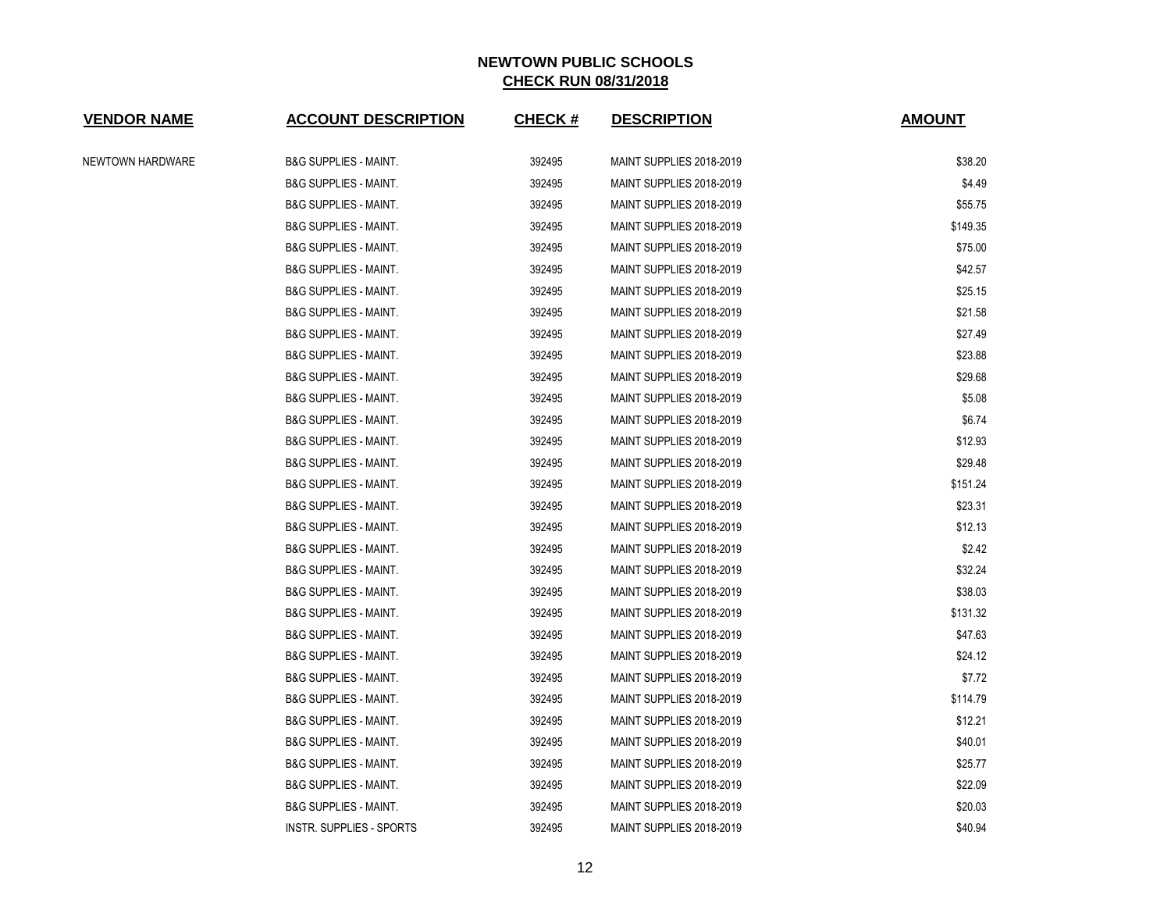| <b>VENDOR NAME</b> | <b>ACCOUNT DESCRIPTION</b>       | <b>CHECK#</b> | <b>DESCRIPTION</b>       | <b>AMOUNT</b> |
|--------------------|----------------------------------|---------------|--------------------------|---------------|
| NEWTOWN HARDWARE   | <b>B&amp;G SUPPLIES - MAINT.</b> | 392495        | MAINT SUPPLIES 2018-2019 | \$38.20       |
|                    | <b>B&amp;G SUPPLIES - MAINT.</b> | 392495        | MAINT SUPPLIES 2018-2019 | \$4.49        |
|                    | <b>B&amp;G SUPPLIES - MAINT.</b> | 392495        | MAINT SUPPLIES 2018-2019 | \$55.75       |
|                    | <b>B&amp;G SUPPLIES - MAINT.</b> | 392495        | MAINT SUPPLIES 2018-2019 | \$149.35      |
|                    | <b>B&amp;G SUPPLIES - MAINT.</b> | 392495        | MAINT SUPPLIES 2018-2019 | \$75.00       |
|                    | <b>B&amp;G SUPPLIES - MAINT.</b> | 392495        | MAINT SUPPLIES 2018-2019 | \$42.57       |
|                    | <b>B&amp;G SUPPLIES - MAINT.</b> | 392495        | MAINT SUPPLIES 2018-2019 | \$25.15       |
|                    | <b>B&amp;G SUPPLIES - MAINT.</b> | 392495        | MAINT SUPPLIES 2018-2019 | \$21.58       |
|                    | <b>B&amp;G SUPPLIES - MAINT.</b> | 392495        | MAINT SUPPLIES 2018-2019 | \$27.49       |
|                    | <b>B&amp;G SUPPLIES - MAINT.</b> | 392495        | MAINT SUPPLIES 2018-2019 | \$23.88       |
|                    | <b>B&amp;G SUPPLIES - MAINT.</b> | 392495        | MAINT SUPPLIES 2018-2019 | \$29.68       |
|                    | <b>B&amp;G SUPPLIES - MAINT.</b> | 392495        | MAINT SUPPLIES 2018-2019 | \$5.08        |
|                    | <b>B&amp;G SUPPLIES - MAINT.</b> | 392495        | MAINT SUPPLIES 2018-2019 | \$6.74        |
|                    | <b>B&amp;G SUPPLIES - MAINT.</b> | 392495        | MAINT SUPPLIES 2018-2019 | \$12.93       |
|                    | <b>B&amp;G SUPPLIES - MAINT.</b> | 392495        | MAINT SUPPLIES 2018-2019 | \$29.48       |
|                    | <b>B&amp;G SUPPLIES - MAINT.</b> | 392495        | MAINT SUPPLIES 2018-2019 | \$151.24      |
|                    | <b>B&amp;G SUPPLIES - MAINT.</b> | 392495        | MAINT SUPPLIES 2018-2019 | \$23.31       |
|                    | <b>B&amp;G SUPPLIES - MAINT.</b> | 392495        | MAINT SUPPLIES 2018-2019 | \$12.13       |
|                    | <b>B&amp;G SUPPLIES - MAINT.</b> | 392495        | MAINT SUPPLIES 2018-2019 | \$2.42        |
|                    | <b>B&amp;G SUPPLIES - MAINT.</b> | 392495        | MAINT SUPPLIES 2018-2019 | \$32.24       |
|                    | <b>B&amp;G SUPPLIES - MAINT.</b> | 392495        | MAINT SUPPLIES 2018-2019 | \$38.03       |
|                    | <b>B&amp;G SUPPLIES - MAINT.</b> | 392495        | MAINT SUPPLIES 2018-2019 | \$131.32      |
|                    | <b>B&amp;G SUPPLIES - MAINT.</b> | 392495        | MAINT SUPPLIES 2018-2019 | \$47.63       |
|                    | <b>B&amp;G SUPPLIES - MAINT.</b> | 392495        | MAINT SUPPLIES 2018-2019 | \$24.12       |
|                    | <b>B&amp;G SUPPLIES - MAINT.</b> | 392495        | MAINT SUPPLIES 2018-2019 | \$7.72        |
|                    | <b>B&amp;G SUPPLIES - MAINT.</b> | 392495        | MAINT SUPPLIES 2018-2019 | \$114.79      |
|                    | <b>B&amp;G SUPPLIES - MAINT.</b> | 392495        | MAINT SUPPLIES 2018-2019 | \$12.21       |
|                    | <b>B&amp;G SUPPLIES - MAINT.</b> | 392495        | MAINT SUPPLIES 2018-2019 | \$40.01       |
|                    | <b>B&amp;G SUPPLIES - MAINT.</b> | 392495        | MAINT SUPPLIES 2018-2019 | \$25.77       |
|                    | <b>B&amp;G SUPPLIES - MAINT.</b> | 392495        | MAINT SUPPLIES 2018-2019 | \$22.09       |
|                    | <b>B&amp;G SUPPLIES - MAINT.</b> | 392495        | MAINT SUPPLIES 2018-2019 | \$20.03       |
|                    | INSTR. SUPPLIES - SPORTS         | 392495        | MAINT SUPPLIES 2018-2019 | \$40.94       |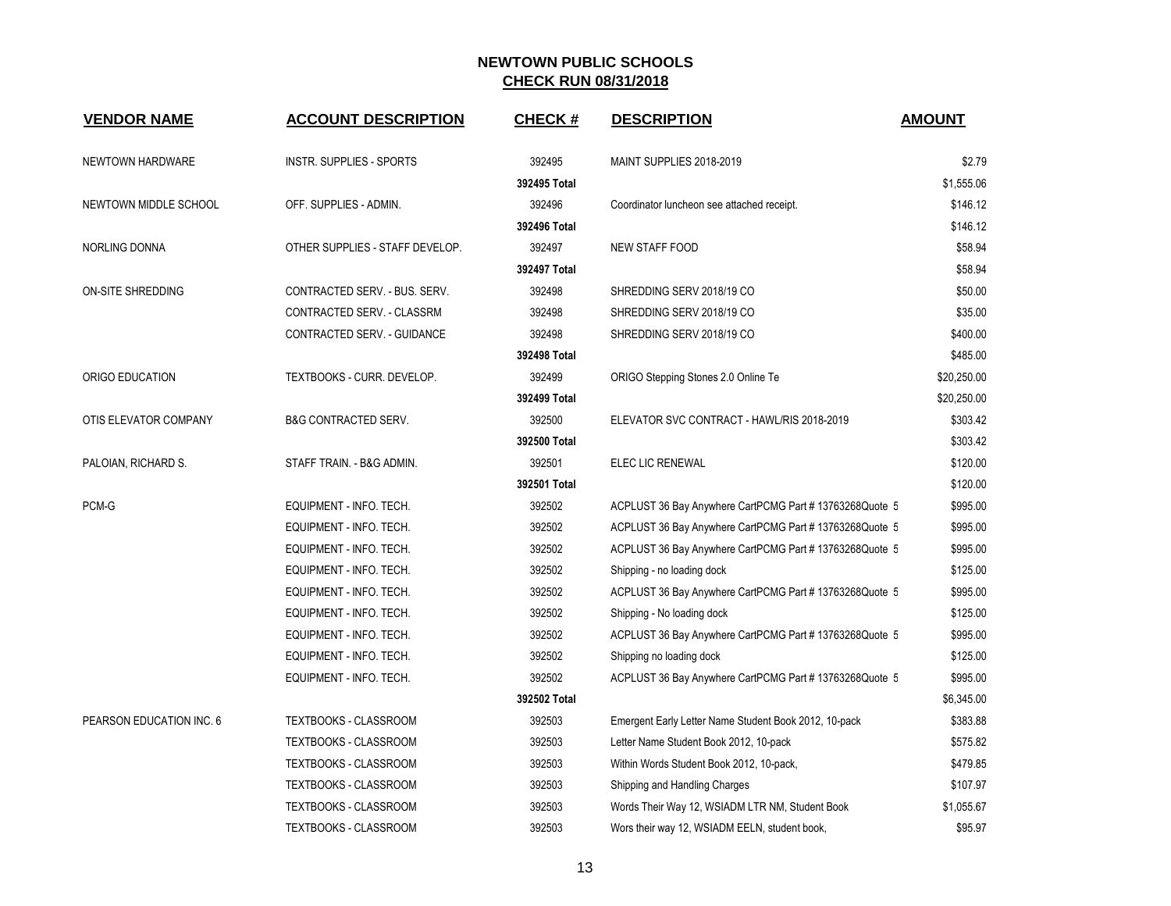| <b>VENDOR NAME</b>       | <b>ACCOUNT DESCRIPTION</b>      | <b>CHECK#</b> | <b>DESCRIPTION</b>                                      | <b>AMOUNT</b> |
|--------------------------|---------------------------------|---------------|---------------------------------------------------------|---------------|
| NEWTOWN HARDWARE         | <b>INSTR. SUPPLIES - SPORTS</b> | 392495        | MAINT SUPPLIES 2018-2019                                | \$2.79        |
|                          |                                 | 392495 Total  |                                                         | \$1,555.06    |
| NEWTOWN MIDDLE SCHOOL    | OFF. SUPPLIES - ADMIN.          | 392496        | Coordinator luncheon see attached receipt.              | \$146.12      |
|                          |                                 | 392496 Total  |                                                         | \$146.12      |
| NORLING DONNA            | OTHER SUPPLIES - STAFF DEVELOP. | 392497        | <b>NEW STAFF FOOD</b>                                   | \$58.94       |
|                          |                                 | 392497 Total  |                                                         | \$58.94       |
| ON-SITE SHREDDING        | CONTRACTED SERV. - BUS. SERV.   | 392498        | SHREDDING SERV 2018/19 CO                               | \$50.00       |
|                          | CONTRACTED SERV. - CLASSRM      | 392498        | SHREDDING SERV 2018/19 CO                               | \$35.00       |
|                          | CONTRACTED SERV. - GUIDANCE     | 392498        | SHREDDING SERV 2018/19 CO                               | \$400.00      |
|                          |                                 | 392498 Total  |                                                         | \$485.00      |
| ORIGO EDUCATION          | TEXTBOOKS - CURR. DEVELOP.      | 392499        | ORIGO Stepping Stones 2.0 Online Te                     | \$20,250.00   |
|                          |                                 | 392499 Total  |                                                         | \$20,250.00   |
| OTIS ELEVATOR COMPANY    | <b>B&amp;G CONTRACTED SERV.</b> | 392500        | ELEVATOR SVC CONTRACT - HAWL/RIS 2018-2019              | \$303.42      |
|                          |                                 | 392500 Total  |                                                         | \$303.42      |
| PALOIAN, RICHARD S.      | STAFF TRAIN. - B&G ADMIN.       | 392501        | ELEC LIC RENEWAL                                        | \$120.00      |
|                          |                                 | 392501 Total  |                                                         | \$120.00      |
| PCM-G                    | EQUIPMENT - INFO. TECH.         | 392502        | ACPLUST 36 Bay Anywhere CartPCMG Part #13763268Quote 5  | \$995.00      |
|                          | EQUIPMENT - INFO. TECH.         | 392502        | ACPLUST 36 Bay Anywhere CartPCMG Part #13763268Quote 5  | \$995.00      |
|                          | EQUIPMENT - INFO. TECH.         | 392502        | ACPLUST 36 Bay Anywhere CartPCMG Part #13763268Quote 5  | \$995.00      |
|                          | EQUIPMENT - INFO. TECH.         | 392502        | Shipping - no loading dock                              | \$125.00      |
|                          | EQUIPMENT - INFO. TECH.         | 392502        | ACPLUST 36 Bay Anywhere CartPCMG Part #13763268Quote 5  | \$995.00      |
|                          | EQUIPMENT - INFO. TECH.         | 392502        | Shipping - No loading dock                              | \$125.00      |
|                          | EQUIPMENT - INFO. TECH.         | 392502        | ACPLUST 36 Bay Anywhere CartPCMG Part #13763268Quote 5  | \$995.00      |
|                          | EQUIPMENT - INFO. TECH.         | 392502        | Shipping no loading dock                                | \$125.00      |
|                          | EQUIPMENT - INFO. TECH.         | 392502        | ACPLUST 36 Bay Anywhere CartPCMG Part # 13763268Quote 5 | \$995.00      |
|                          |                                 | 392502 Total  |                                                         | \$6,345.00    |
| PEARSON EDUCATION INC. 6 | TEXTBOOKS - CLASSROOM           | 392503        | Emergent Early Letter Name Student Book 2012, 10-pack   | \$383.88      |
|                          | TEXTBOOKS - CLASSROOM           | 392503        | Letter Name Student Book 2012, 10-pack                  | \$575.82      |
|                          | TEXTBOOKS - CLASSROOM           | 392503        | Within Words Student Book 2012, 10-pack,                | \$479.85      |
|                          | TEXTBOOKS - CLASSROOM           | 392503        | Shipping and Handling Charges                           | \$107.97      |
|                          | TEXTBOOKS - CLASSROOM           | 392503        | Words Their Way 12, WSIADM LTR NM, Student Book         | \$1,055.67    |
|                          | <b>TEXTBOOKS - CLASSROOM</b>    | 392503        | Wors their way 12, WSIADM EELN, student book,           | \$95.97       |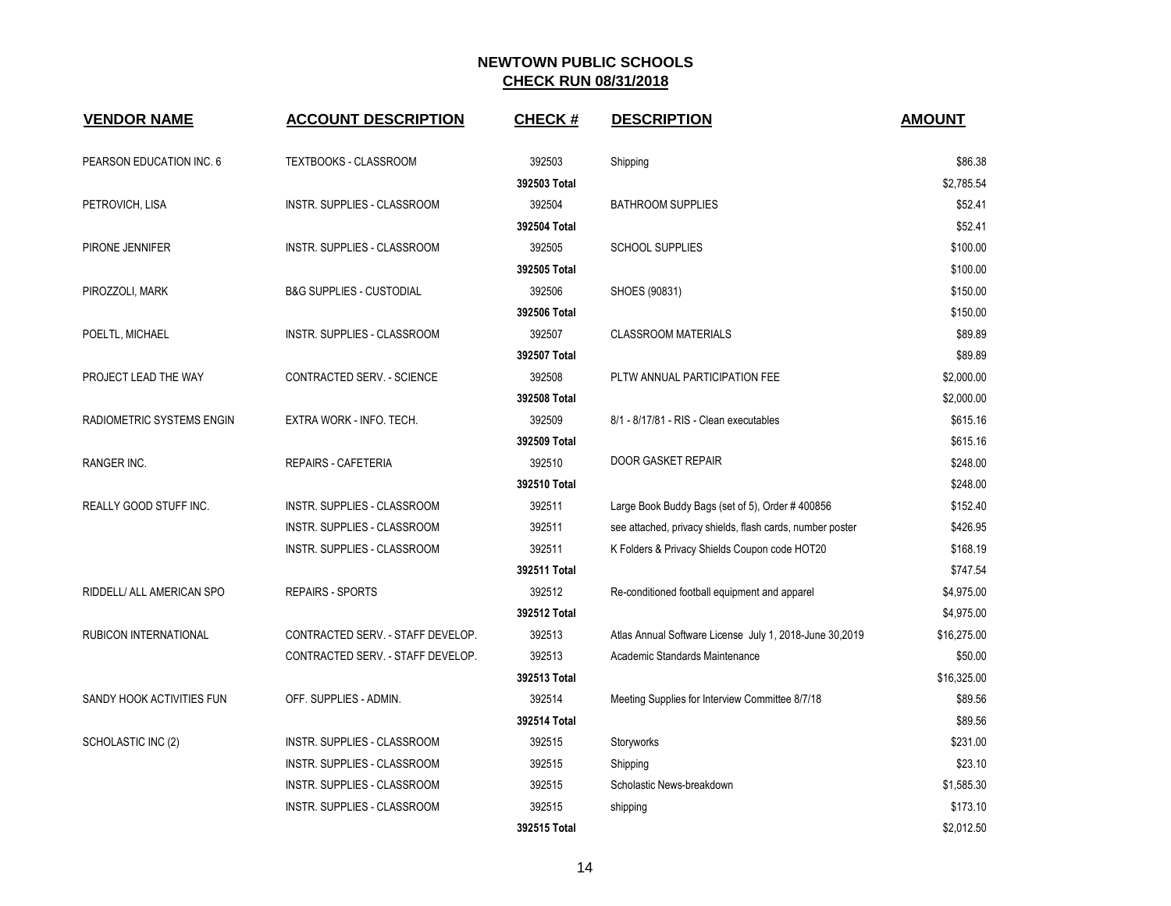| <b>VENDOR NAME</b>        | <b>ACCOUNT DESCRIPTION</b>          | <b>CHECK#</b> | <b>DESCRIPTION</b>                                        | <b>AMOUNT</b> |
|---------------------------|-------------------------------------|---------------|-----------------------------------------------------------|---------------|
| PEARSON EDUCATION INC. 6  | TEXTBOOKS - CLASSROOM               | 392503        | Shipping                                                  | \$86.38       |
|                           |                                     | 392503 Total  |                                                           | \$2.785.54    |
| PETROVICH, LISA           | INSTR. SUPPLIES - CLASSROOM         | 392504        | <b>BATHROOM SUPPLIES</b>                                  | \$52.41       |
|                           |                                     | 392504 Total  |                                                           | \$52.41       |
| PIRONE JENNIFER           | INSTR. SUPPLIES - CLASSROOM         | 392505        | <b>SCHOOL SUPPLIES</b>                                    | \$100.00      |
|                           |                                     | 392505 Total  |                                                           | \$100.00      |
| PIROZZOLI, MARK           | <b>B&amp;G SUPPLIES - CUSTODIAL</b> | 392506        | SHOES (90831)                                             | \$150.00      |
|                           |                                     | 392506 Total  |                                                           | \$150.00      |
| POELTL, MICHAEL           | INSTR. SUPPLIES - CLASSROOM         | 392507        | <b>CLASSROOM MATERIALS</b>                                | \$89.89       |
|                           |                                     | 392507 Total  |                                                           | \$89.89       |
| PROJECT LEAD THE WAY      | CONTRACTED SERV. - SCIENCE          | 392508        | PLTW ANNUAL PARTICIPATION FEE                             | \$2,000.00    |
|                           |                                     | 392508 Total  |                                                           | \$2,000.00    |
| RADIOMETRIC SYSTEMS ENGIN | EXTRA WORK - INFO. TECH.            | 392509        | 8/1 - 8/17/81 - RIS - Clean executables                   | \$615.16      |
|                           |                                     | 392509 Total  |                                                           | \$615.16      |
| <b>RANGER INC.</b>        | <b>REPAIRS - CAFETERIA</b>          | 392510        | <b>DOOR GASKET REPAIR</b>                                 | \$248.00      |
|                           |                                     | 392510 Total  |                                                           | \$248.00      |
| REALLY GOOD STUFF INC.    | INSTR. SUPPLIES - CLASSROOM         | 392511        | Large Book Buddy Bags (set of 5), Order #400856           | \$152.40      |
|                           | <b>INSTR. SUPPLIES - CLASSROOM</b>  | 392511        | see attached, privacy shields, flash cards, number poster | \$426.95      |
|                           | INSTR. SUPPLIES - CLASSROOM         | 392511        | K Folders & Privacy Shields Coupon code HOT20             | \$168.19      |
|                           |                                     | 392511 Total  |                                                           | \$747.54      |
| RIDDELL/ ALL AMERICAN SPO | <b>REPAIRS - SPORTS</b>             | 392512        | Re-conditioned football equipment and apparel             | \$4,975.00    |
|                           |                                     | 392512 Total  |                                                           | \$4,975.00    |
| RUBICON INTERNATIONAL     | CONTRACTED SERV. - STAFF DEVELOP.   | 392513        | Atlas Annual Software License July 1, 2018-June 30,2019   | \$16,275.00   |
|                           | CONTRACTED SERV. - STAFF DEVELOP.   | 392513        | Academic Standards Maintenance                            | \$50.00       |
|                           |                                     | 392513 Total  |                                                           | \$16,325.00   |
| SANDY HOOK ACTIVITIES FUN | OFF. SUPPLIES - ADMIN.              | 392514        | Meeting Supplies for Interview Committee 8/7/18           | \$89.56       |
|                           |                                     | 392514 Total  |                                                           | \$89.56       |
| SCHOLASTIC INC (2)        | INSTR. SUPPLIES - CLASSROOM         | 392515        | Storyworks                                                | \$231.00      |
|                           | INSTR. SUPPLIES - CLASSROOM         | 392515        | Shipping                                                  | \$23.10       |
|                           | INSTR. SUPPLIES - CLASSROOM         | 392515        | Scholastic News-breakdown                                 | \$1,585.30    |
|                           | INSTR. SUPPLIES - CLASSROOM         | 392515        | shipping                                                  | \$173.10      |
|                           |                                     | 392515 Total  |                                                           | \$2,012.50    |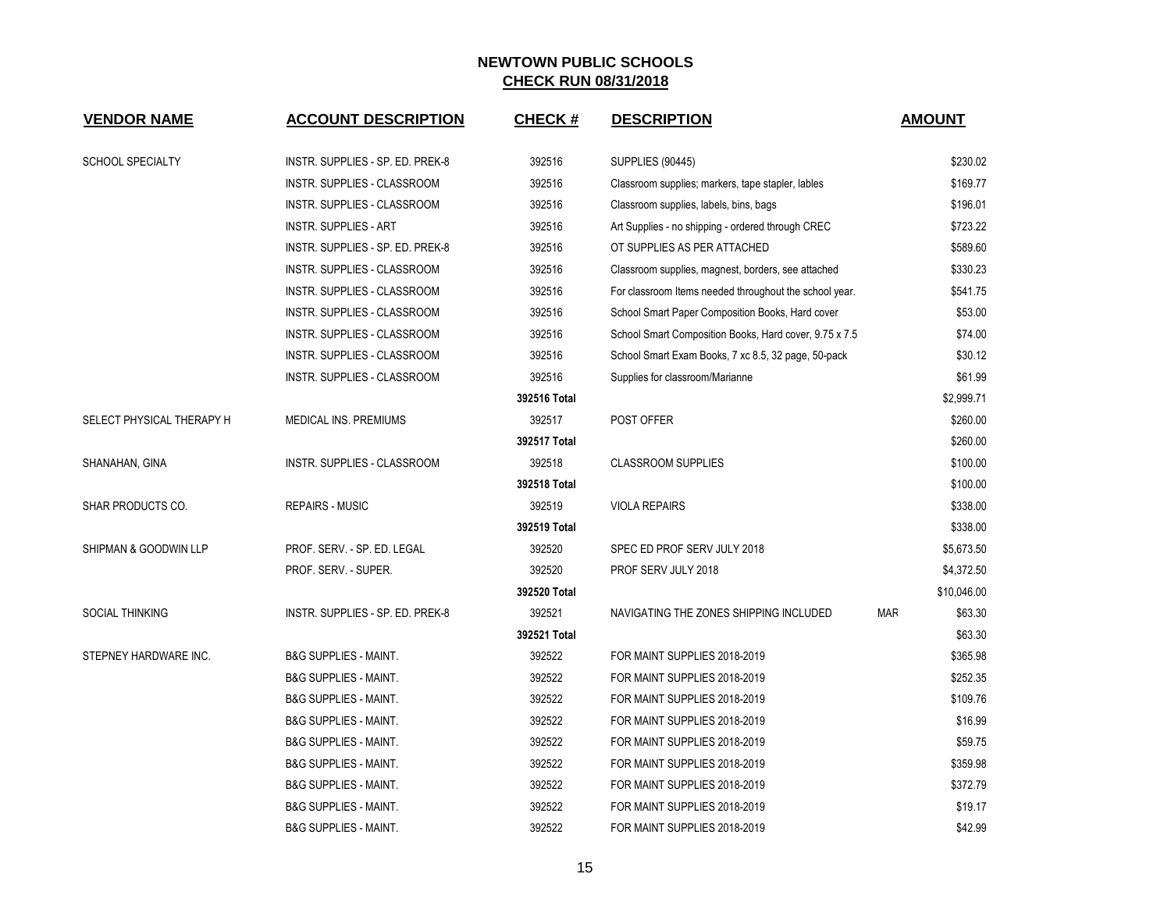| <b>VENDOR NAME</b>        | <b>ACCOUNT DESCRIPTION</b>       | <b>CHECK#</b> | <b>DESCRIPTION</b>                                     |            | <b>AMOUNT</b> |  |
|---------------------------|----------------------------------|---------------|--------------------------------------------------------|------------|---------------|--|
| <b>SCHOOL SPECIALTY</b>   | INSTR. SUPPLIES - SP. ED. PREK-8 | 392516        | <b>SUPPLIES (90445)</b>                                |            | \$230.02      |  |
|                           | INSTR. SUPPLIES - CLASSROOM      | 392516        | Classroom supplies; markers, tape stapler, lables      | \$169.77   |               |  |
|                           | INSTR. SUPPLIES - CLASSROOM      | 392516        | Classroom supplies, labels, bins, bags                 | \$196.01   |               |  |
|                           | <b>INSTR. SUPPLIES - ART</b>     | 392516        | Art Supplies - no shipping - ordered through CREC      |            | \$723.22      |  |
|                           | INSTR. SUPPLIES - SP. ED. PREK-8 | 392516        | OT SUPPLIES AS PER ATTACHED                            |            | \$589.60      |  |
|                           | INSTR. SUPPLIES - CLASSROOM      | 392516        | Classroom supplies, magnest, borders, see attached     | \$330.23   |               |  |
|                           | INSTR. SUPPLIES - CLASSROOM      | 392516        | For classroom Items needed throughout the school year. | \$541.75   |               |  |
|                           | INSTR. SUPPLIES - CLASSROOM      | 392516        | School Smart Paper Composition Books, Hard cover       | \$53.00    |               |  |
|                           | INSTR. SUPPLIES - CLASSROOM      | 392516        | School Smart Composition Books, Hard cover, 9.75 x 7.5 |            | \$74.00       |  |
|                           | INSTR. SUPPLIES - CLASSROOM      | 392516        | School Smart Exam Books, 7 xc 8.5, 32 page, 50-pack    |            | \$30.12       |  |
|                           | INSTR. SUPPLIES - CLASSROOM      | 392516        | Supplies for classroom/Marianne                        |            | \$61.99       |  |
|                           |                                  | 392516 Total  |                                                        |            | \$2,999.71    |  |
| SELECT PHYSICAL THERAPY H | MEDICAL INS. PREMIUMS            | 392517        | POST OFFER                                             |            | \$260.00      |  |
|                           |                                  | 392517 Total  |                                                        |            | \$260.00      |  |
| SHANAHAN, GINA            | INSTR. SUPPLIES - CLASSROOM      | 392518        | <b>CLASSROOM SUPPLIES</b>                              |            | \$100.00      |  |
|                           |                                  | 392518 Total  |                                                        |            | \$100.00      |  |
| SHAR PRODUCTS CO.         | <b>REPAIRS - MUSIC</b>           | 392519        | <b>VIOLA REPAIRS</b>                                   |            | \$338.00      |  |
|                           |                                  | 392519 Total  |                                                        |            | \$338.00      |  |
| SHIPMAN & GOODWIN LLP     | PROF. SERV. - SP. ED. LEGAL      | 392520        | SPEC ED PROF SERV JULY 2018                            |            | \$5,673.50    |  |
|                           | PROF. SERV. - SUPER.             | 392520        | PROF SERV JULY 2018                                    |            | \$4,372.50    |  |
|                           |                                  | 392520 Total  |                                                        |            | \$10,046.00   |  |
| <b>SOCIAL THINKING</b>    | INSTR. SUPPLIES - SP. ED. PREK-8 | 392521        | NAVIGATING THE ZONES SHIPPING INCLUDED                 | <b>MAR</b> | \$63.30       |  |
|                           |                                  | 392521 Total  |                                                        |            | \$63.30       |  |
| STEPNEY HARDWARE INC.     | <b>B&amp;G SUPPLIES - MAINT.</b> | 392522        | FOR MAINT SUPPLIES 2018-2019                           |            | \$365.98      |  |
|                           | <b>B&amp;G SUPPLIES - MAINT.</b> | 392522        | FOR MAINT SUPPLIES 2018-2019                           |            | \$252.35      |  |
|                           | <b>B&amp;G SUPPLIES - MAINT.</b> | 392522        | FOR MAINT SUPPLIES 2018-2019                           |            | \$109.76      |  |
|                           | <b>B&amp;G SUPPLIES - MAINT.</b> | 392522        | FOR MAINT SUPPLIES 2018-2019                           |            | \$16.99       |  |
|                           | <b>B&amp;G SUPPLIES - MAINT.</b> | 392522        | FOR MAINT SUPPLIES 2018-2019                           |            | \$59.75       |  |
|                           | <b>B&amp;G SUPPLIES - MAINT.</b> | 392522        | FOR MAINT SUPPLIES 2018-2019                           |            | \$359.98      |  |
|                           | <b>B&amp;G SUPPLIES - MAINT.</b> | 392522        | FOR MAINT SUPPLIES 2018-2019                           |            | \$372.79      |  |
|                           | <b>B&amp;G SUPPLIES - MAINT.</b> | 392522        | FOR MAINT SUPPLIES 2018-2019                           |            | \$19.17       |  |
|                           | <b>B&amp;G SUPPLIES - MAINT.</b> | 392522        | FOR MAINT SUPPLIES 2018-2019                           |            | \$42.99       |  |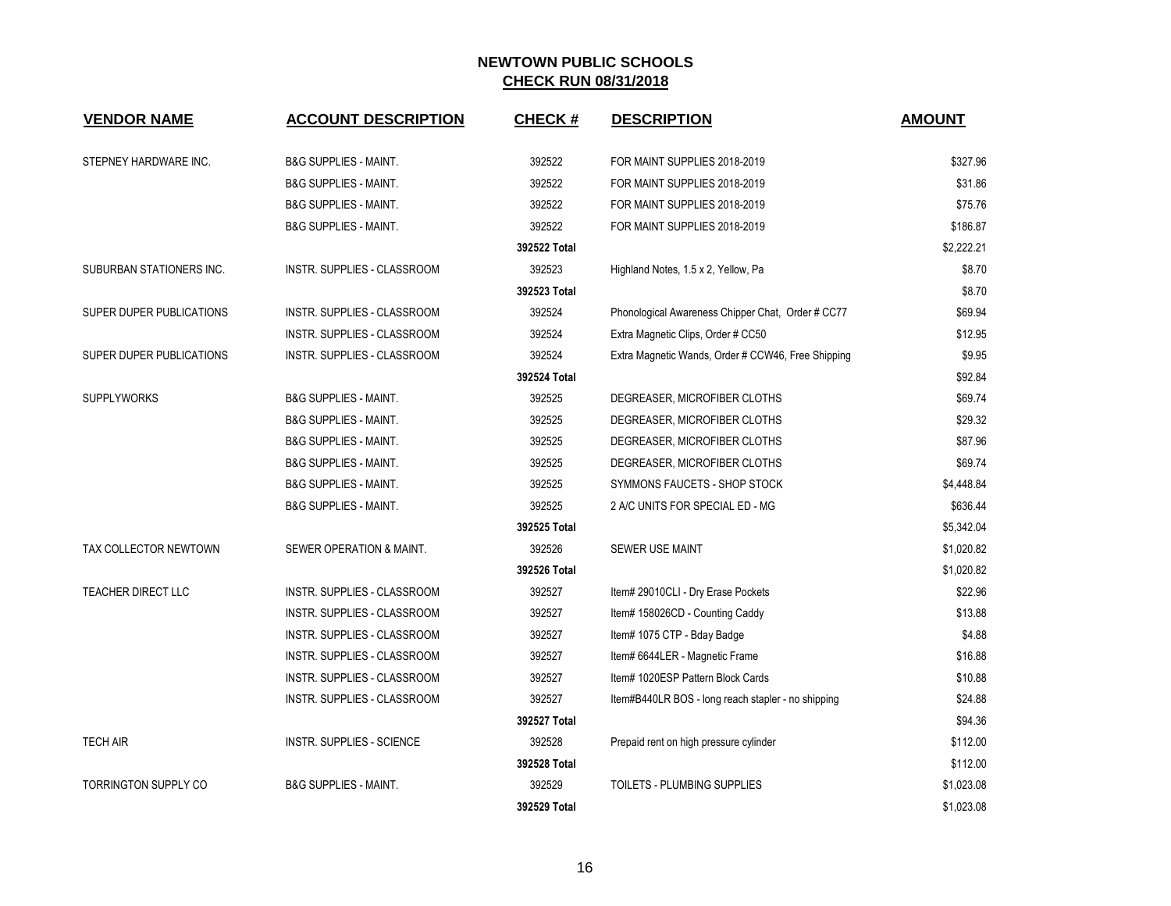| <b>VENDOR NAME</b>       | <b>ACCOUNT DESCRIPTION</b>       | <b>CHECK#</b> | <b>DESCRIPTION</b>                                 | <b>AMOUNT</b> |
|--------------------------|----------------------------------|---------------|----------------------------------------------------|---------------|
| STEPNEY HARDWARE INC.    | <b>B&amp;G SUPPLIES - MAINT.</b> | 392522        | FOR MAINT SUPPLIES 2018-2019                       | \$327.96      |
|                          | <b>B&amp;G SUPPLIES - MAINT.</b> | 392522        | FOR MAINT SUPPLIES 2018-2019                       | \$31.86       |
|                          | <b>B&amp;G SUPPLIES - MAINT.</b> | 392522        | FOR MAINT SUPPLIES 2018-2019                       | \$75.76       |
|                          | <b>B&amp;G SUPPLIES - MAINT.</b> | 392522        | FOR MAINT SUPPLIES 2018-2019                       | \$186.87      |
|                          |                                  | 392522 Total  |                                                    | \$2,222.21    |
| SUBURBAN STATIONERS INC. | INSTR. SUPPLIES - CLASSROOM      | 392523        | Highland Notes, 1.5 x 2, Yellow, Pa                | \$8.70        |
|                          |                                  | 392523 Total  |                                                    | \$8.70        |
| SUPER DUPER PUBLICATIONS | INSTR. SUPPLIES - CLASSROOM      | 392524        | Phonological Awareness Chipper Chat, Order # CC77  | \$69.94       |
|                          | INSTR. SUPPLIES - CLASSROOM      | 392524        | Extra Magnetic Clips, Order # CC50                 | \$12.95       |
| SUPER DUPER PUBLICATIONS | INSTR. SUPPLIES - CLASSROOM      | 392524        | Extra Magnetic Wands, Order # CCW46, Free Shipping | \$9.95        |
|                          |                                  | 392524 Total  |                                                    | \$92.84       |
| <b>SUPPLYWORKS</b>       | <b>B&amp;G SUPPLIES - MAINT.</b> | 392525        | DEGREASER, MICROFIBER CLOTHS                       | \$69.74       |
|                          | <b>B&amp;G SUPPLIES - MAINT.</b> | 392525        | DEGREASER, MICROFIBER CLOTHS                       | \$29.32       |
|                          | <b>B&amp;G SUPPLIES - MAINT.</b> | 392525        | DEGREASER, MICROFIBER CLOTHS                       | \$87.96       |
|                          | <b>B&amp;G SUPPLIES - MAINT.</b> | 392525        | DEGREASER, MICROFIBER CLOTHS                       | \$69.74       |
|                          | <b>B&amp;G SUPPLIES - MAINT.</b> | 392525        | SYMMONS FAUCETS - SHOP STOCK                       | \$4,448.84    |
|                          | <b>B&amp;G SUPPLIES - MAINT.</b> | 392525        | 2 A/C UNITS FOR SPECIAL ED - MG                    | \$636.44      |
|                          |                                  | 392525 Total  |                                                    | \$5,342.04    |
| TAX COLLECTOR NEWTOWN    | SEWER OPERATION & MAINT.         | 392526        | SEWER USE MAINT                                    | \$1,020.82    |
|                          |                                  | 392526 Total  |                                                    | \$1,020.82    |
| TEACHER DIRECT LLC       | INSTR. SUPPLIES - CLASSROOM      | 392527        | Item# 29010CLI - Dry Erase Pockets                 | \$22.96       |
|                          | INSTR. SUPPLIES - CLASSROOM      | 392527        | Item# 158026CD - Counting Caddy                    | \$13.88       |
|                          | INSTR. SUPPLIES - CLASSROOM      | 392527        | Item# 1075 CTP - Bday Badge                        | \$4.88        |
|                          | INSTR. SUPPLIES - CLASSROOM      | 392527        | Item# 6644LER - Magnetic Frame                     | \$16.88       |
|                          | INSTR. SUPPLIES - CLASSROOM      | 392527        | Item# 1020ESP Pattern Block Cards                  | \$10.88       |
|                          | INSTR. SUPPLIES - CLASSROOM      | 392527        | Item#B440LR BOS - long reach stapler - no shipping | \$24.88       |
|                          |                                  | 392527 Total  |                                                    | \$94.36       |
| <b>TECH AIR</b>          | <b>INSTR. SUPPLIES - SCIENCE</b> | 392528        | Prepaid rent on high pressure cylinder             | \$112.00      |
|                          |                                  | 392528 Total  |                                                    | \$112.00      |
| TORRINGTON SUPPLY CO     | <b>B&amp;G SUPPLIES - MAINT.</b> | 392529        | TOILETS - PLUMBING SUPPLIES                        | \$1,023.08    |
|                          |                                  | 392529 Total  |                                                    | \$1,023.08    |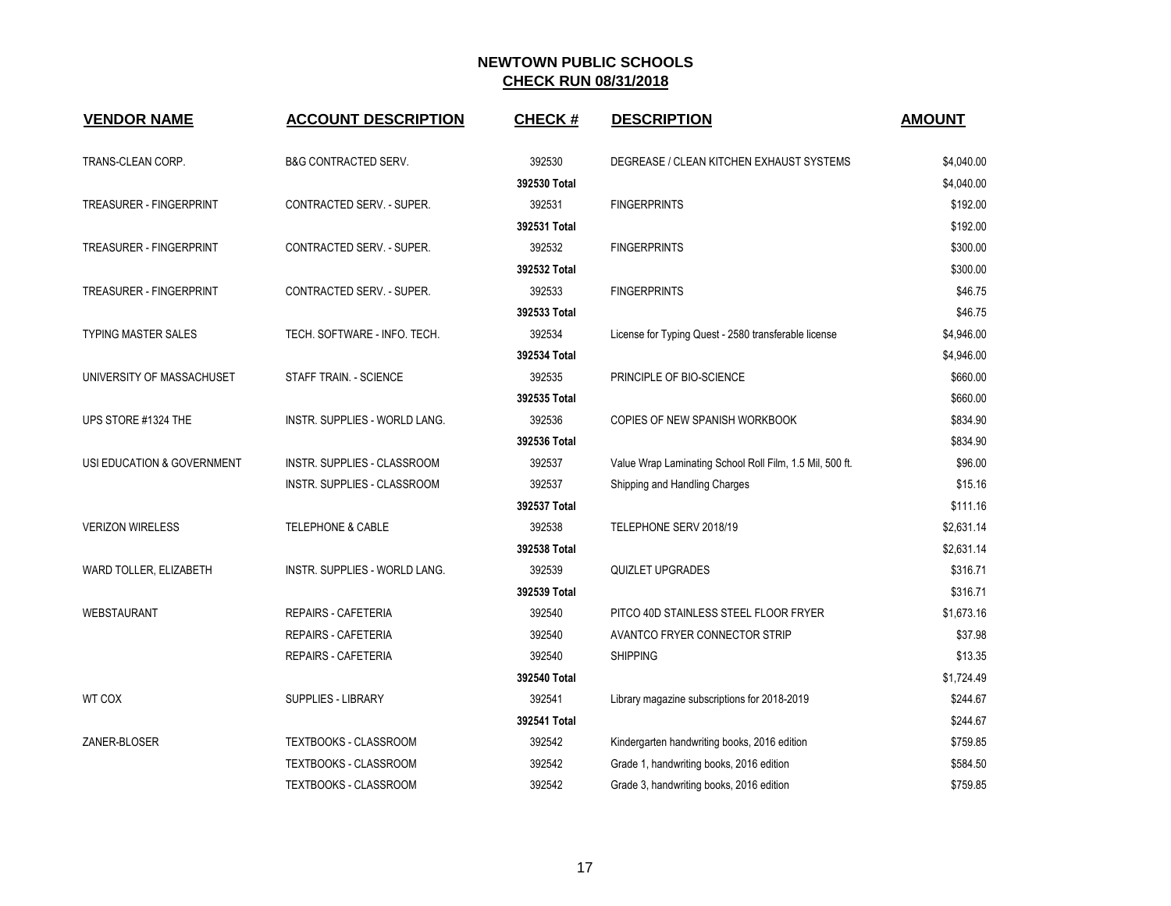| <b>VENDOR NAME</b>             | <b>ACCOUNT DESCRIPTION</b>      | <b>CHECK#</b> | <b>DESCRIPTION</b>                                       | <b>AMOUNT</b> |
|--------------------------------|---------------------------------|---------------|----------------------------------------------------------|---------------|
| TRANS-CLEAN CORP.              | <b>B&amp;G CONTRACTED SERV.</b> | 392530        | DEGREASE / CLEAN KITCHEN EXHAUST SYSTEMS                 | \$4,040.00    |
|                                |                                 | 392530 Total  |                                                          | \$4,040.00    |
| <b>TREASURER - FINGERPRINT</b> | CONTRACTED SERV. - SUPER.       | 392531        | <b>FINGERPRINTS</b>                                      | \$192.00      |
|                                |                                 | 392531 Total  |                                                          | \$192.00      |
| <b>TREASURER - FINGERPRINT</b> | CONTRACTED SERV. - SUPER.       | 392532        | <b>FINGERPRINTS</b>                                      | \$300.00      |
|                                |                                 | 392532 Total  |                                                          | \$300.00      |
| <b>TREASURER - FINGERPRINT</b> | CONTRACTED SERV. - SUPER.       | 392533        | <b>FINGERPRINTS</b>                                      | \$46.75       |
|                                |                                 | 392533 Total  |                                                          | \$46.75       |
| <b>TYPING MASTER SALES</b>     | TECH. SOFTWARE - INFO. TECH.    | 392534        | License for Typing Quest - 2580 transferable license     | \$4,946.00    |
|                                |                                 | 392534 Total  |                                                          | \$4,946.00    |
| UNIVERSITY OF MASSACHUSET      | STAFF TRAIN. - SCIENCE          | 392535        | PRINCIPLE OF BIO-SCIENCE                                 | \$660.00      |
|                                |                                 | 392535 Total  |                                                          | \$660.00      |
| UPS STORE #1324 THE            | INSTR. SUPPLIES - WORLD LANG.   | 392536        | COPIES OF NEW SPANISH WORKBOOK                           | \$834.90      |
|                                |                                 | 392536 Total  |                                                          | \$834.90      |
| USI EDUCATION & GOVERNMENT     | INSTR. SUPPLIES - CLASSROOM     | 392537        | Value Wrap Laminating School Roll Film, 1.5 Mil, 500 ft. | \$96.00       |
|                                | INSTR. SUPPLIES - CLASSROOM     | 392537        | Shipping and Handling Charges                            | \$15.16       |
|                                |                                 | 392537 Total  |                                                          | \$111.16      |
| <b>VERIZON WIRELESS</b>        | <b>TELEPHONE &amp; CABLE</b>    | 392538        | TELEPHONE SERV 2018/19                                   | \$2,631.14    |
|                                |                                 | 392538 Total  |                                                          | \$2,631.14    |
| WARD TOLLER, ELIZABETH         | INSTR. SUPPLIES - WORLD LANG.   | 392539        | QUIZLET UPGRADES                                         | \$316.71      |
|                                |                                 | 392539 Total  |                                                          | \$316.71      |
| WEBSTAURANT                    | REPAIRS - CAFETERIA             | 392540        | PITCO 40D STAINLESS STEEL FLOOR FRYER                    | \$1,673.16    |
|                                | REPAIRS - CAFETERIA             | 392540        | AVANTCO FRYER CONNECTOR STRIP                            | \$37.98       |
|                                | <b>REPAIRS - CAFETERIA</b>      | 392540        | <b>SHIPPING</b>                                          | \$13.35       |
|                                |                                 | 392540 Total  |                                                          | \$1,724.49    |
| WT COX                         | <b>SUPPLIES - LIBRARY</b>       | 392541        | Library magazine subscriptions for 2018-2019             | \$244.67      |
|                                |                                 | 392541 Total  |                                                          | \$244.67      |
| ZANER-BLOSER                   | TEXTBOOKS - CLASSROOM           | 392542        | Kindergarten handwriting books, 2016 edition             | \$759.85      |
|                                | TEXTBOOKS - CLASSROOM           | 392542        | Grade 1, handwriting books, 2016 edition                 | \$584.50      |
|                                | <b>TEXTBOOKS - CLASSROOM</b>    | 392542        | Grade 3, handwriting books, 2016 edition                 | \$759.85      |
|                                |                                 |               |                                                          |               |